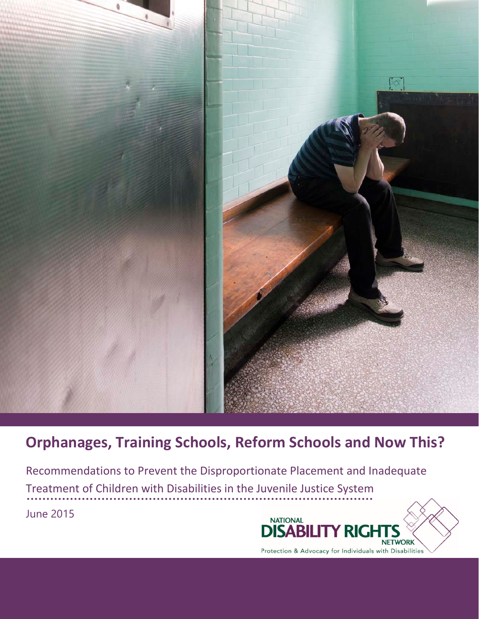

# **Orphanages, Training Schools, Reform Schools and Now This?**

Recommendations to Prevent the Disproportionate Placement and Inadequate Treatment of Children with Disabilities in the Juvenile Justice System

June 2015

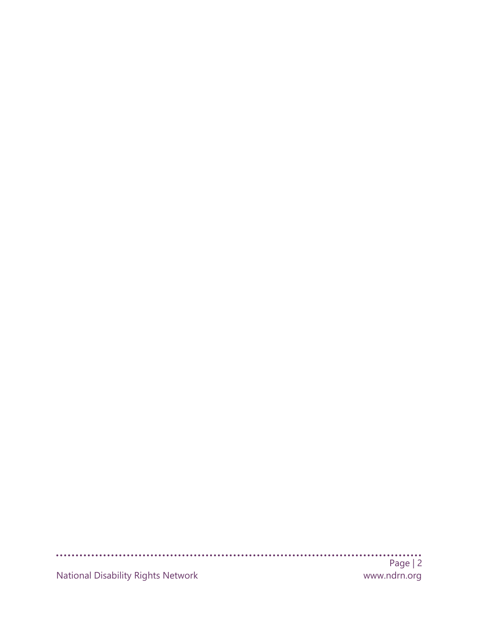Page | 2 National Disability Rights Network www.ndrn.org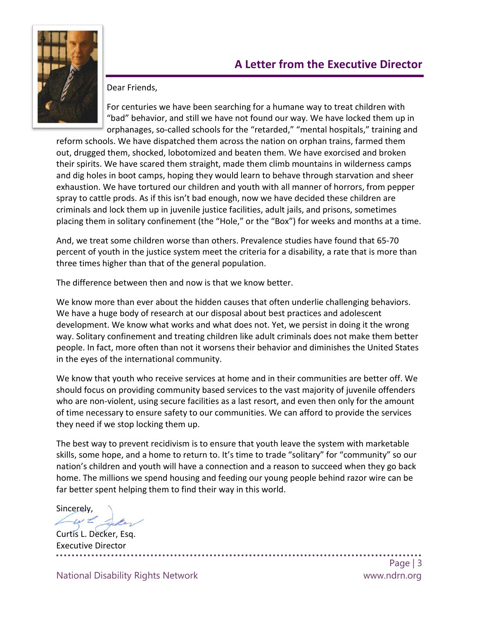

Dear Friends,

For centuries we have been searching for a humane way to treat children with "bad" behavior, and still we have not found our way. We have locked them up in orphanages, so-called schools for the "retarded," "mental hospitals," training and

reform schools. We have dispatched them across the nation on orphan trains, farmed them out, drugged them, shocked, lobotomized and beaten them. We have exorcised and broken their spirits. We have scared them straight, made them climb mountains in wilderness camps and dig holes in boot camps, hoping they would learn to behave through starvation and sheer exhaustion. We have tortured our children and youth with all manner of horrors, from pepper spray to cattle prods. As if this isn't bad enough, now we have decided these children are criminals and lock them up in juvenile justice facilities, adult jails, and prisons, sometimes placing them in solitary confinement (the "Hole," or the "Box") for weeks and months at a time.

And, we treat some children worse than others. Prevalence studies have found that 65-70 percent of youth in the justice system meet the criteria for a disability, a rate that is more than three times higher than that of the general population.

The difference between then and now is that we know better.

We know more than ever about the hidden causes that often underlie challenging behaviors. We have a huge body of research at our disposal about best practices and adolescent development. We know what works and what does not. Yet, we persist in doing it the wrong way. Solitary confinement and treating children like adult criminals does not make them better people. In fact, more often than not it worsens their behavior and diminishes the United States in the eyes of the international community.

We know that youth who receive services at home and in their communities are better off. We should focus on providing community based services to the vast majority of juvenile offenders who are non-violent, using secure facilities as a last resort, and even then only for the amount of time necessary to ensure safety to our communities. We can afford to provide the services they need if we stop locking them up.

The best way to prevent recidivism is to ensure that youth leave the system with marketable skills, some hope, and a home to return to. It's time to trade "solitary" for "community" so our nation's children and youth will have a connection and a reason to succeed when they go back home. The millions we spend housing and feeding our young people behind razor wire can be far better spent helping them to find their way in this world.

Sincerely,  $117$ 

Curtis L. Decker, Esq. Executive Director

National Disability Rights Network www.ndrn.org

Page | 3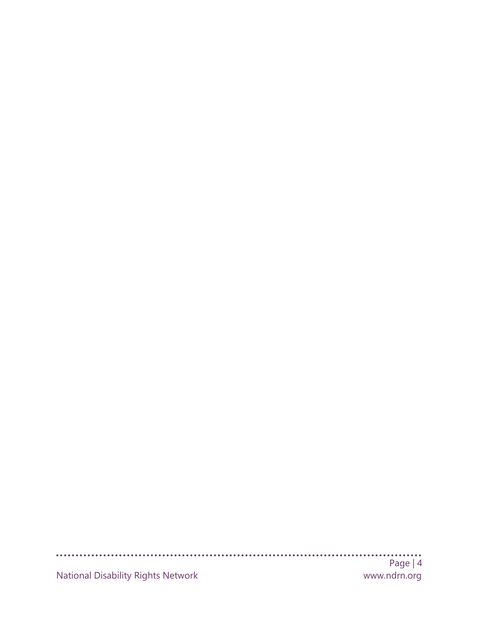Page | 4 National Disability Rights Network www.ndrn.org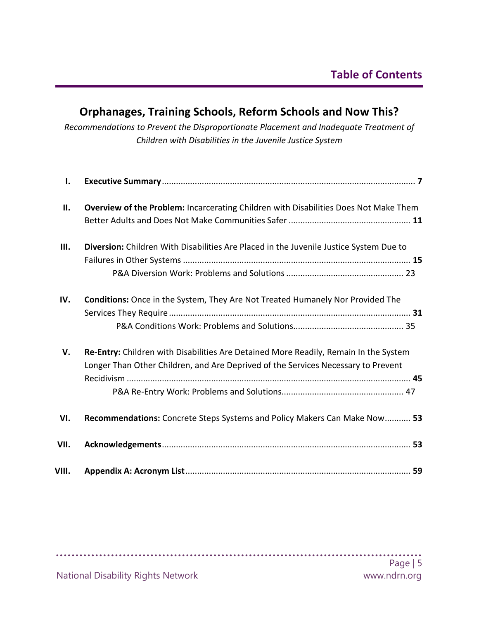## **Orphanages, Training Schools, Reform Schools and Now This?**

*Recommendations to Prevent the Disproportionate Placement and Inadequate Treatment of Children with Disabilities in the Juvenile Justice System*

| Ι.    |                                                                                                                                                                           |
|-------|---------------------------------------------------------------------------------------------------------------------------------------------------------------------------|
| П.    | Overview of the Problem: Incarcerating Children with Disabilities Does Not Make Them                                                                                      |
| Ш.    | Diversion: Children With Disabilities Are Placed in the Juvenile Justice System Due to                                                                                    |
| IV.   | <b>Conditions:</b> Once in the System, They Are Not Treated Humanely Nor Provided The                                                                                     |
| V.    | Re-Entry: Children with Disabilities Are Detained More Readily, Remain In the System<br>Longer Than Other Children, and Are Deprived of the Services Necessary to Prevent |
| VI.   | Recommendations: Concrete Steps Systems and Policy Makers Can Make Now 53                                                                                                 |
| VII.  |                                                                                                                                                                           |
| VIII. |                                                                                                                                                                           |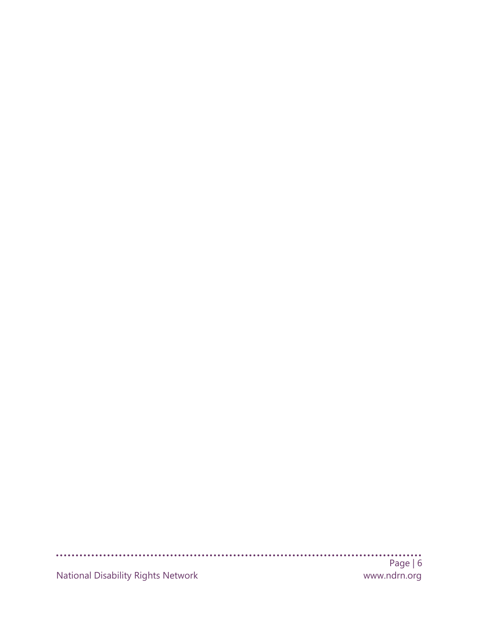Page | 6 National Disability Rights Network www.ndrn.org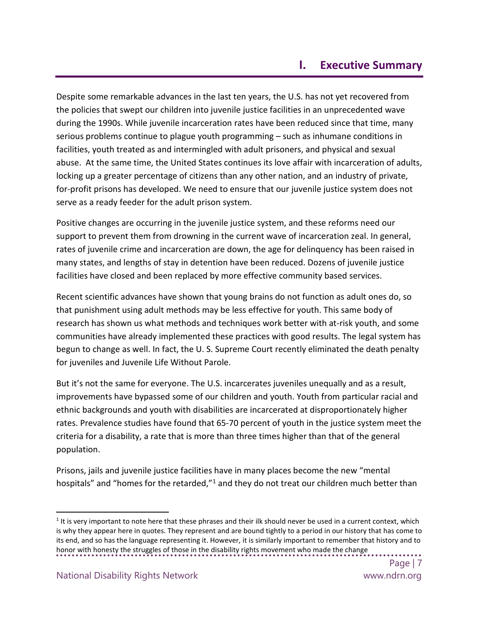## **I. Executive Summary**

Despite some remarkable advances in the last ten years, the U.S. has not yet recovered from the policies that swept our children into juvenile justice facilities in an unprecedented wave during the 1990s. While juvenile incarceration rates have been reduced since that time, many serious problems continue to plague youth programming – such as inhumane conditions in facilities, youth treated as and intermingled with adult prisoners, and physical and sexual abuse. At the same time, the United States continues its love affair with incarceration of adults, locking up a greater percentage of citizens than any other nation, and an industry of private, for-profit prisons has developed. We need to ensure that our juvenile justice system does not serve as a ready feeder for the adult prison system.

Positive changes are occurring in the juvenile justice system, and these reforms need our support to prevent them from drowning in the current wave of incarceration zeal. In general, rates of juvenile crime and incarceration are down, the age for delinquency has been raised in many states, and lengths of stay in detention have been reduced. Dozens of juvenile justice facilities have closed and been replaced by more effective community based services.

Recent scientific advances have shown that young brains do not function as adult ones do, so that punishment using adult methods may be less effective for youth. This same body of research has shown us what methods and techniques work better with at-risk youth, and some communities have already implemented these practices with good results. The legal system has begun to change as well. In fact, the U. S. Supreme Court recently eliminated the death penalty for juveniles and Juvenile Life Without Parole.

But it's not the same for everyone. The U.S. incarcerates juveniles unequally and as a result, improvements have bypassed some of our children and youth. Youth from particular racial and ethnic backgrounds and youth with disabilities are incarcerated at disproportionately higher rates. Prevalence studies have found that 65-70 percent of youth in the justice system meet the criteria for a disability, a rate that is more than three times higher than that of the general population.

Prisons, jails and juvenile justice facilities have in many places become the new "mental hospitals" and "homes for the retarded, $"^1$  $"^1$  and they do not treat our children much better than

<span id="page-6-0"></span> $<sup>1</sup>$  It is very important to note here that these phrases and their ilk should never be used in a current context, which</sup> is why they appear here in quotes. They represent and are bound tightly to a period in our history that has come to its end, and so has the language representing it. However, it is similarly important to remember that history and to honor with honesty the struggles of those in the disability rights movement who made the change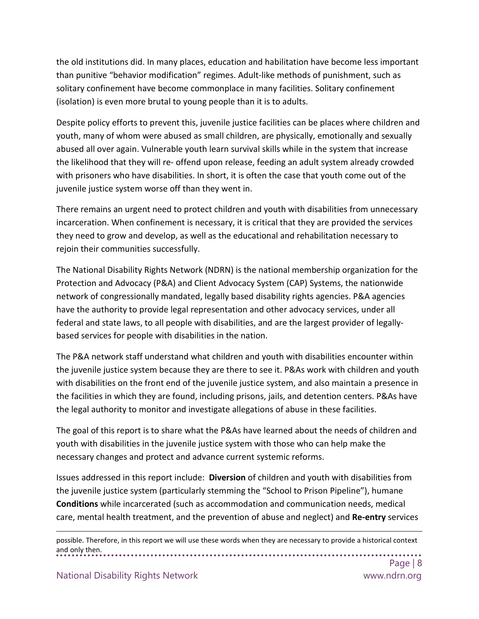the old institutions did. In many places, education and habilitation have become less important than punitive "behavior modification" regimes. Adult-like methods of punishment, such as solitary confinement have become commonplace in many facilities. Solitary confinement (isolation) is even more brutal to young people than it is to adults.

Despite policy efforts to prevent this, juvenile justice facilities can be places where children and youth, many of whom were abused as small children, are physically, emotionally and sexually abused all over again. Vulnerable youth learn survival skills while in the system that increase the likelihood that they will re- offend upon release, feeding an adult system already crowded with prisoners who have disabilities. In short, it is often the case that youth come out of the juvenile justice system worse off than they went in.

There remains an urgent need to protect children and youth with disabilities from unnecessary incarceration. When confinement is necessary, it is critical that they are provided the services they need to grow and develop, as well as the educational and rehabilitation necessary to rejoin their communities successfully.

The National Disability Rights Network (NDRN) is the national membership organization for the Protection and Advocacy (P&A) and Client Advocacy System (CAP) Systems, the nationwide network of congressionally mandated, legally based disability rights agencies. P&A agencies have the authority to provide legal representation and other advocacy services, under all federal and state laws, to all people with disabilities, and are the largest provider of legallybased services for people with disabilities in the nation.

The P&A network staff understand what children and youth with disabilities encounter within the juvenile justice system because they are there to see it. P&As work with children and youth with disabilities on the front end of the juvenile justice system, and also maintain a presence in the facilities in which they are found, including prisons, jails, and detention centers. P&As have the legal authority to monitor and investigate allegations of abuse in these facilities.

The goal of this report is to share what the P&As have learned about the needs of children and youth with disabilities in the juvenile justice system with those who can help make the necessary changes and protect and advance current systemic reforms.

Issues addressed in this report include: **Diversion** of children and youth with disabilities from the juvenile justice system (particularly stemming the "School to Prison Pipeline"), humane **Conditions** while incarcerated (such as accommodation and communication needs, medical care, mental health treatment, and the prevention of abuse and neglect) and **Re-entry** services

 $\overline{a}$ 

possible. Therefore, in this report we will use these words when they are necessary to provide a historical context and only then.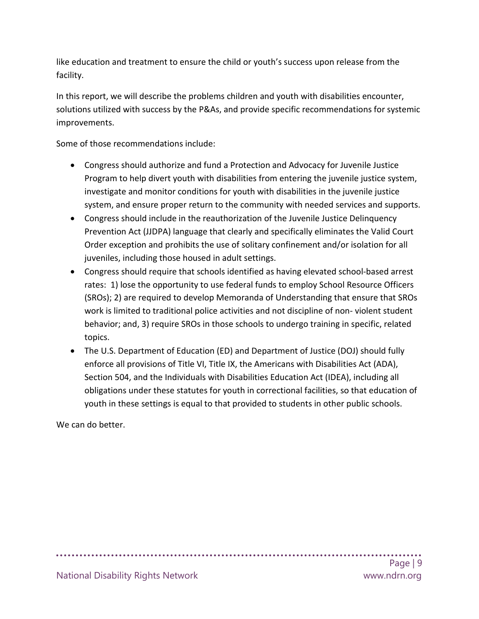like education and treatment to ensure the child or youth's success upon release from the facility.

In this report, we will describe the problems children and youth with disabilities encounter, solutions utilized with success by the P&As, and provide specific recommendations for systemic improvements.

Some of those recommendations include:

- Congress should authorize and fund a Protection and Advocacy for Juvenile Justice Program to help divert youth with disabilities from entering the juvenile justice system, investigate and monitor conditions for youth with disabilities in the juvenile justice system, and ensure proper return to the community with needed services and supports.
- Congress should include in the reauthorization of the Juvenile Justice Delinquency Prevention Act (JJDPA) language that clearly and specifically eliminates the Valid Court Order exception and prohibits the use of solitary confinement and/or isolation for all juveniles, including those housed in adult settings.
- Congress should require that schools identified as having elevated school-based arrest rates: 1) lose the opportunity to use federal funds to employ School Resource Officers (SROs); 2) are required to develop Memoranda of Understanding that ensure that SROs work is limited to traditional police activities and not discipline of non- violent student behavior; and, 3) require SROs in those schools to undergo training in specific, related topics.
- The U.S. Department of Education (ED) and Department of Justice (DOJ) should fully enforce all provisions of Title VI, Title IX, the Americans with Disabilities Act (ADA), Section 504, and the Individuals with Disabilities Education Act (IDEA), including all obligations under these statutes for youth in correctional facilities, so that education of youth in these settings is equal to that provided to students in other public schools.

We can do better.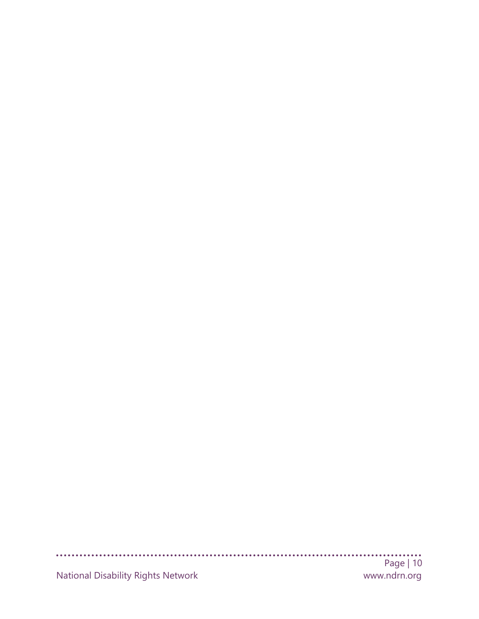Page | 10<br>Www.ndrn.org National Disability Rights Network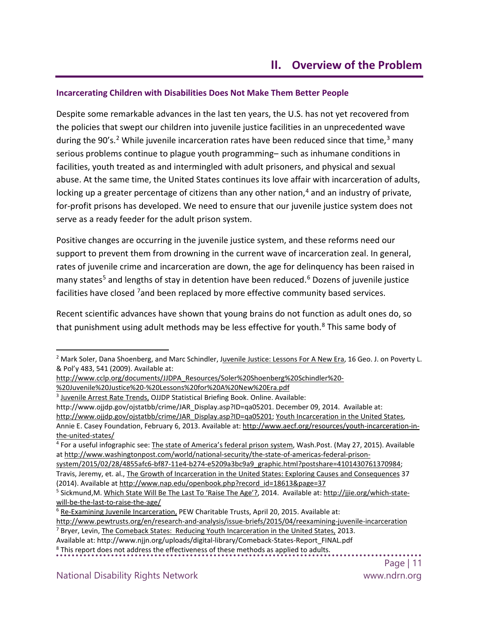## **Incarcerating Children with Disabilities Does Not Make Them Better People**

Despite some remarkable advances in the last ten years, the U.S. has not yet recovered from the policies that swept our children into juvenile justice facilities in an unprecedented wave during the 90's.<sup>[2](#page-10-0)</sup> While juvenile incarceration rates have been reduced since that time,<sup>[3](#page-10-1)</sup> many serious problems continue to plague youth programming– such as inhumane conditions in facilities, youth treated as and intermingled with adult prisoners, and physical and sexual abuse. At the same time, the United States continues its love affair with incarceration of adults, locking up a greater percentage of citizens than any other nation,<sup>[4](#page-10-2)</sup> and an industry of private, for-profit prisons has developed. We need to ensure that our juvenile justice system does not serve as a ready feeder for the adult prison system.

Positive changes are occurring in the juvenile justice system, and these reforms need our support to prevent them from drowning in the current wave of incarceration zeal. In general, rates of juvenile crime and incarceration are down, the age for delinquency has been raised in many states<sup>5</sup> and lengths of stay in detention have been reduced.<sup>[6](#page-10-4)</sup> Dozens of juvenile justice facilities have closed [7a](#page-10-5)nd been replaced by more effective community based services.

Recent scientific advances have shown that young brains do not function as adult ones do, so that punishment using adult methods may be less effective for youth. $8$  This same body of

[%20Juvenile%20Justice%20-%20Lessons%20for%20A%20New%20Era.pdf](http://www.cclp.org/documents/JJDPA_Resources/Soler%20Shoenberg%20Schindler%20-%20Juvenile%20Justice%20-%20Lessons%20for%20A%20New%20Era.pdf)

<span id="page-10-0"></span><sup>&</sup>lt;sup>2</sup> Mark Soler, Dana Shoenberg, and Marc Schindler, Juvenile Justice: Lessons For A New Era, 16 Geo. J. on Poverty L. & Pol'y 483, 541 (2009). Available at:

[http://www.cclp.org/documents/JJDPA\\_Resources/Soler%20Shoenberg%20Schindler%20-](http://www.cclp.org/documents/JJDPA_Resources/Soler%20Shoenberg%20Schindler%20-%20Juvenile%20Justice%20-%20Lessons%20for%20A%20New%20Era.pdf)

<span id="page-10-1"></span><sup>&</sup>lt;sup>3</sup> Juvenile Arrest Rate Trends, OJJDP Statistical Briefing Book. Online. Available:

http://www.ojjdp.gov/ojstatbb/crime/JAR\_Display.asp?ID=qa05201. December 09, 2014. Available at: [http://www.ojjdp.gov/ojstatbb/crime/JAR\\_Display.asp?ID=qa05201;](http://www.ojjdp.gov/ojstatbb/crime/JAR_Display.asp?ID=qa05201) Youth Incarceration in the United States, Annie E. Casey Foundation, February 6, 2013. Available at[: http://www.aecf.org/resources/youth-incarceration-in-](http://www.aecf.org/resources/youth-incarceration-in-the-united-states/)

<span id="page-10-2"></span>[the-united-states/](http://www.aecf.org/resources/youth-incarceration-in-the-united-states/) <sup>4</sup> For a useful infographic see: The state of America's federal prison system, Wash.Post. (May 27, 2015). Available a[t http://www.washingtonpost.com/world/national-security/the-state-of-americas-federal-prison-](http://www.washingtonpost.com/world/national-security/the-state-of-americas-federal-prison-system/2015/02/28/4855afc6-bf87-11e4-b274-e5209a3bc9a9_graphic.html?postshare=4101430761370984)

[system/2015/02/28/4855afc6-bf87-11e4-b274-e5209a3bc9a9\\_graphic.html?postshare=4101430761370984;](http://www.washingtonpost.com/world/national-security/the-state-of-americas-federal-prison-system/2015/02/28/4855afc6-bf87-11e4-b274-e5209a3bc9a9_graphic.html?postshare=4101430761370984) Travis, Jeremy, et. al., The Growth of Incarceration in the United States: Exploring Causes and Consequences 37

<sup>(2014).</sup> Available at [http://www.nap.edu/openbook.php?record\\_id=18613&page=37](http://www.nap.edu/openbook.php?record_id=18613&page=37)

<span id="page-10-3"></span><sup>5</sup> Sickmund,M. Which State Will Be The Last To 'Raise The Age'?, 2014. Available at: [http://jjie.org/which-state](http://jjie.org/which-state-will-be-the-last-to-raise-the-age/)[will-be-the-last-to-raise-the-age/](http://jjie.org/which-state-will-be-the-last-to-raise-the-age/)

<span id="page-10-4"></span><sup>6</sup> Re-Examining Juvenile Incarceration, PEW Charitable Trusts, April 20, 2015. Available at:

<span id="page-10-5"></span><http://www.pewtrusts.org/en/research-and-analysis/issue-briefs/2015/04/reexamining-juvenile-incarceration>  $7$  Bryer, Levin, The Comeback States: Reducing Youth Incarceration in the United States, 2013.

Available at: http://www.njjn.org/uploads/digital-library/Comeback-States-Report\_FINAL.pdf

<span id="page-10-6"></span><sup>&</sup>lt;sup>8</sup> This report does not address the effectiveness of these methods as applied to adults.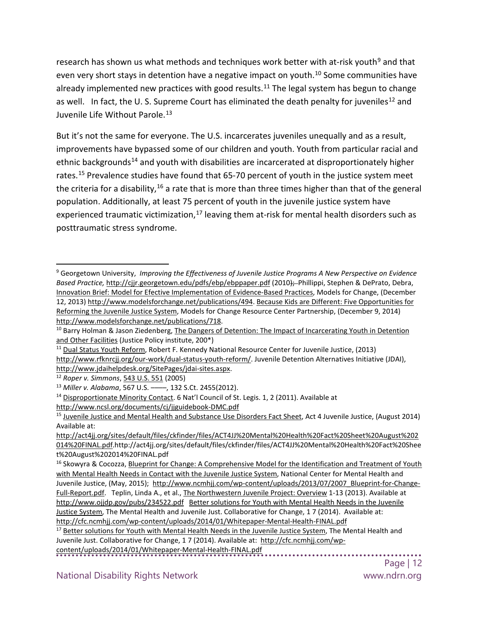research has shown us what methods and techniques work better with at-risk youth<sup>[9](#page-11-0)</sup> and that even very short stays in detention have a negative impact on youth.<sup>[10](#page-11-1)</sup> Some communities have already implemented new practices with good results.<sup>[11](#page-11-2)</sup> The legal system has begun to change as well. In fact, the U.S. Supreme Court has eliminated the death penalty for juveniles<sup>[12](#page-11-3)</sup> and Juvenile Life Without Parole.<sup>[13](#page-11-4)</sup>

But it's not the same for everyone. The U.S. incarcerates juveniles unequally and as a result, improvements have bypassed some of our children and youth. Youth from particular racial and ethnic backgrounds<sup>[14](#page-11-5)</sup> and youth with disabilities are incarcerated at disproportionately higher rates.<sup>[15](#page-11-6)</sup> Prevalence studies have found that 65-70 percent of youth in the justice system meet the criteria for a disability,<sup>[16](#page-11-7)</sup> a rate that is more than three times higher than that of the general population. Additionally, at least 75 percent of youth in the juvenile justice system have experienced traumatic victimization,<sup>[17](#page-11-8)</sup> leaving them at-risk for mental health disorders such as posttraumatic stress syndrome.

<span id="page-11-0"></span> <sup>9</sup> Georgetown University, *Improving the Effectiveness of Juvenile Justice Programs A New Perspective on Evidence Based Practice,* <http://cjjr.georgetown.edu/pdfs/ebp/ebppaper.pdf> (2010); Phillippi, Stephen & DePrato, Debra, Innovation Brief: Model for Efective Implementation of Evidence-Based Practices, Models for Change, (December 12, 2013[\) http://www.modelsforchange.net/publications/494.](http://www.modelsforchange.net/publications/494) Because Kids are Different: Five Opportunities for Reforming the Juvenile Justice System, Models for Change Resource Center Partnership, (December 9, 2014) [http://www.modelsforchange.net/publications/718.](http://www.modelsforchange.net/publications/718)

<span id="page-11-1"></span><sup>&</sup>lt;sup>10</sup> Barry Holman & Jason Ziedenberg, The Dangers of Detention: The Impact of Incarcerating Youth in Detention and Other Facilities (Justice Policy institute, 200\*)

<span id="page-11-2"></span><sup>&</sup>lt;sup>11</sup> Dual Status Youth Reform, Robert F. Kennedy National Resource Center for Juvenile Justice, (2013) [http://www.rfknrcjj.org/our-work/dual-status-youth-reform/.](http://www.rfknrcjj.org/our-work/dual-status-youth-reform/) Juvenile Detention Alternatives Initiative (JDAI), [http://www.jdaihelpdesk.org/SitePages/jdai-sites.aspx.](http://www.jdaihelpdesk.org/SitePages/jdai-sites.aspx)

<span id="page-11-3"></span><sup>12</sup> *Roper v. Simmons*, [543 U.S. 551](http://en.wikipedia.org/wiki/United_States_Reports) (2005)

<span id="page-11-4"></span><sup>13</sup> *Miller v. Alabama*, [567 U.S. ––––, 132 S.Ct. 2455\(2012\).](https://a.next.westlaw.com/Link/Document/FullText?findType=Y&serNum=2027964006&pubNum=0000708&originatingDoc=I84ead966caed11e3b86bd602cb8781fa&refType=RP&originationContext=document&transitionType=DocumentItem&contextData=(sc.CustomDigest))

<span id="page-11-5"></span><sup>&</sup>lt;sup>14</sup> Disproportionate Minority Contact. 6 Nat'l Council of St. Legis. 1, 2 (2011). Available at <http://www.ncsl.org/documents/cj/jjguidebook-DMC.pdf>

<span id="page-11-6"></span><sup>&</sup>lt;sup>15</sup> Juvenile Justice and Mental Health and Substance Use Disorders Fact Sheet, Act 4 Juvenile Justice, (August 2014) Available at:

[http://act4jj.org/sites/default/files/ckfinder/files/ACT4JJ%20Mental%20Health%20Fact%20Sheet%20August%202](http://act4jj.org/sites/default/files/ckfinder/files/ACT4JJ%20Mental%20Health%20Fact%20Sheet%20August%202014%20FINAL.pdf) [014%20FINAL.pdf.](http://act4jj.org/sites/default/files/ckfinder/files/ACT4JJ%20Mental%20Health%20Fact%20Sheet%20August%202014%20FINAL.pdf)http://act4jj.org/sites/default/files/ckfinder/files/ACT4JJ%20Mental%20Health%20Fact%20Shee t%20August%202014%20FINAL.pdf

<span id="page-11-7"></span><sup>&</sup>lt;sup>16</sup> Skowyra & Cocozza, Blueprint for Change: A Comprehensive Model for the Identification and Treatment of Youth with Mental Health Needs in Contact with the Juvenile Justice System, National Center for Mental Health and Juvenile Justice, (May, 2015); [http://www.ncmhjj.com/wp-content/uploads/2013/07/2007\\_Blueprint-for-Change-](http://www.ncmhjj.com/wp-content/uploads/2013/07/2007_Blueprint-for-Change-Full-Report.pdf)[Full-Report.pdf.](http://www.ncmhjj.com/wp-content/uploads/2013/07/2007_Blueprint-for-Change-Full-Report.pdf) Teplin, Linda A., et al., The Northwestern Juvenile Project: Overview 1-13 (2013). Available at <http://www.ojjdp.gov/pubs/234522.pdf>Better solutions for Youth with Mental Health Needs in the Juvenile Justice System, The Mental Health and Juvenile Just. Collaborative for Change, 1 7 (2014). Available at:

<span id="page-11-8"></span>http://cfc.ncmhjj.com/wp-content/uploads/2014/01/Whitepaper-Mental-Health-FINAL.pdf<br><sup>17</sup> Better solutions for Youth with Mental Health Needs in the Juvenile Justice System, The Mental Health and Juvenile Just. Collaborative for Change, 1 7 (2014). Available at: [http://cfc.ncmhjj.com/wp](http://cfc.ncmhjj.com/wp-content/uploads/2014/01/Whitepaper-Mental-Health-FINAL.pdf)[content/uploads/2014/01/Whitepaper-Mental-Health-FINAL.pdf](http://cfc.ncmhjj.com/wp-content/uploads/2014/01/Whitepaper-Mental-Health-FINAL.pdf)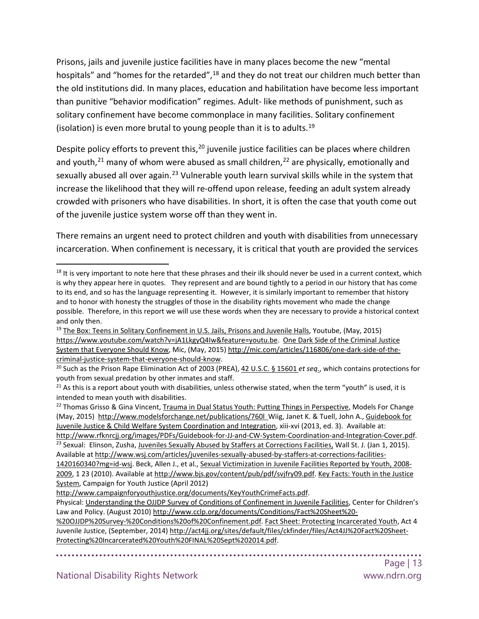Prisons, jails and juvenile justice facilities have in many places become the new "mental hospitals" and "homes for the retarded",<sup>[18](#page-12-0)</sup> and they do not treat our children much better than the old institutions did. In many places, education and habilitation have become less important than punitive "behavior modification" regimes. Adult- like methods of punishment, such as solitary confinement have become commonplace in many facilities. Solitary confinement (isolation) is even more brutal to young people than it is to adults.<sup>[19](#page-12-1)</sup>

Despite policy efforts to prevent this,  $20$  juvenile justice facilities can be places where children and youth,<sup>[21](#page-12-3)</sup> many of whom were abused as small children,<sup>[22](#page-12-4)</sup> are physically, emotionally and sexually abused all over again.<sup>[23](#page-12-5)</sup> Vulnerable youth learn survival skills while in the system that increase the likelihood that they will re-offend upon release, feeding an adult system already crowded with prisoners who have disabilities. In short, it is often the case that youth come out of the juvenile justice system worse off than they went in.

There remains an urgent need to protect children and youth with disabilities from unnecessary incarceration. When confinement is necessary, it is critical that youth are provided the services

<span id="page-12-0"></span> $18$  It is very important to note here that these phrases and their ilk should never be used in a current context, which is why they appear here in quotes. They represent and are bound tightly to a period in our history that has come to its end, and so has the language representing it. However, it is similarly important to remember that history and to honor with honesty the struggles of those in the disability rights movement who made the change possible. Therefore, in this report we will use these words when they are necessary to provide a historical context and only then.

<span id="page-12-1"></span><sup>&</sup>lt;sup>19</sup> The Box: Teens in Solitary Confinement in U.S. Jails, Prisons and Juvenile Halls, Youtube, (May, 2015) [https://www.youtube.com/watch?v=jA1LkgyQ4Iw&feature=youtu.be.](https://www.youtube.com/watch?v=jA1LkgyQ4Iw&feature=youtu.be) One Dark Side of the Criminal Justice System that Everyone Should Know, Mic, (May, 2015[\) http://mic.com/articles/116806/one-dark-side-of-the](http://mic.com/articles/116806/one-dark-side-of-the-criminal-justice-system-that-everyone-should-know)[criminal-justice-system-that-everyone-should-know.](http://mic.com/articles/116806/one-dark-side-of-the-criminal-justice-system-that-everyone-should-know)

<span id="page-12-2"></span><sup>20</sup> Such as the Prison Rape Elimination Act of 2003 (PREA)[, 42 U.S.C. § 15601](https://a.next.westlaw.com/Link/Document/FullText?findType=L&pubNum=1000546&cite=42USCAS15601&originatingDoc=Icfadb5b201e811dba2529ff4f933adbe&refType=LQ&originationContext=document&transitionType=DocumentItem&contextData=(sc.Search)) *et seq*., which contains protections for youth from sexual predation by other inmates and staff.

<span id="page-12-3"></span><sup>&</sup>lt;sup>21</sup> As this is a report about youth with disabilities, unless otherwise stated, when the term "youth" is used, it is intended to mean youth with disabilities.

<span id="page-12-4"></span><sup>&</sup>lt;sup>22</sup> Thomas Grisso & Gina Vincent, Trauma in Dual Status Youth: Putting Things in Perspective, Models For Change (May, 2015)<http://www.modelsforchange.net/publications/760l>Wiig, Janet K. & Tuell, John A., Guidebook for Juvenile Justice & Child Welfare System Coordination and Integration, xiii-xvi (2013, ed. 3). Available at:

<span id="page-12-5"></span>[http://www.rfknrcjj.org/images/PDFs/Guidebook-for-JJ-and-CW-System-Coordination-and-Integration-Cover.pdf.](http://www.rfknrcjj.org/images/PDFs/Guidebook-for-JJ-and-CW-System-Coordination-and-Integration-Cover.pdf)<br><sup>23</sup> Sexual: Elinson, Zusha, Juveniles Sexually Abused by Staffers at Corrections Facilities, Wall St. J. (Jan 1, 2 Available a[t http://www.wsj.com/articles/juveniles-sexually-abused-by-staffers-at-corrections-facilities-](http://www.wsj.com/articles/juveniles-sexually-abused-by-staffers-at-corrections-facilities-1420160340?mg=id-wsj)

[<sup>1420160340?</sup>mg=id-wsj.](http://www.wsj.com/articles/juveniles-sexually-abused-by-staffers-at-corrections-facilities-1420160340?mg=id-wsj) Beck, Allen J., et al., Sexual Victimization in Juvenile Facilities Reported by Youth, 2008- 2009, 1 23 (2010). Available a[t http://www.bjs.gov/content/pub/pdf/svjfry09.pdf.](http://www.bjs.gov/content/pub/pdf/svjfry09.pdf) Key Facts: Youth in the Justice System, Campaign for Youth Justice (April 2012)

[http://www.campaignforyouthjustice.org/documents/KeyYouthCrimeFacts.pdf.](http://www.campaignforyouthjustice.org/documents/KeyYouthCrimeFacts.pdf)

Physical: Understanding the OJJDP Survey of Conditions of Confinement in Juvenile Facilities, Center for Children's Law and Policy. (August 2010[\) http://www.cclp.org/documents/Conditions/Fact%20Sheet%20-](http://www.cclp.org/documents/Conditions/Fact%20Sheet%20-%20OJJDP%20Survey-%20Conditions%20of%20Confinement.pdf)

[<sup>%20</sup>OJJDP%20Survey-%20Conditions%20of%20Confinement.pdf.](http://www.cclp.org/documents/Conditions/Fact%20Sheet%20-%20OJJDP%20Survey-%20Conditions%20of%20Confinement.pdf) Fact Sheet: Protecting Incarcerated Youth, Act 4 Juvenile Justice, (September, 2014) [http://act4jj.org/sites/default/files/ckfinder/files/Act4JJ%20Fact%20Sheet-](http://act4jj.org/sites/default/files/ckfinder/files/Act4JJ%20Fact%20Sheet-Protecting%20Incarcerated%20Youth%20FINAL%20Sept%202014.pdf)[Protecting%20Incarcerated%20Youth%20FINAL%20Sept%202014.pdf.](http://act4jj.org/sites/default/files/ckfinder/files/Act4JJ%20Fact%20Sheet-Protecting%20Incarcerated%20Youth%20FINAL%20Sept%202014.pdf)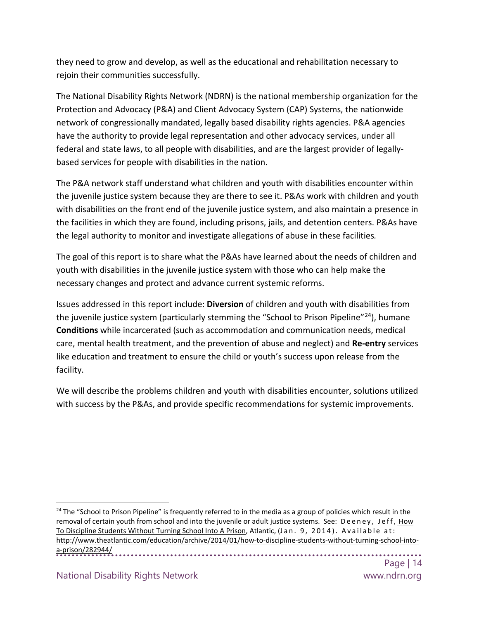they need to grow and develop, as well as the educational and rehabilitation necessary to rejoin their communities successfully.

The National Disability Rights Network (NDRN) is the national membership organization for the Protection and Advocacy (P&A) and Client Advocacy System (CAP) Systems, the nationwide network of congressionally mandated, legally based disability rights agencies. P&A agencies have the authority to provide legal representation and other advocacy services, under all federal and state laws, to all people with disabilities, and are the largest provider of legallybased services for people with disabilities in the nation.

The P&A network staff understand what children and youth with disabilities encounter within the juvenile justice system because they are there to see it. P&As work with children and youth with disabilities on the front end of the juvenile justice system, and also maintain a presence in the facilities in which they are found, including prisons, jails, and detention centers. P&As have the legal authority to monitor and investigate allegations of abuse in these facilities*.* 

The goal of this report is to share what the P&As have learned about the needs of children and youth with disabilities in the juvenile justice system with those who can help make the necessary changes and protect and advance current systemic reforms.

Issues addressed in this report include: **Diversion** of children and youth with disabilities from the juvenile justice system (particularly stemming the "School to Prison Pipeline"<sup>24</sup>), humane **Conditions** while incarcerated (such as accommodation and communication needs, medical care, mental health treatment, and the prevention of abuse and neglect) and **Re-entry** services like education and treatment to ensure the child or youth's success upon release from the facility.

We will describe the problems children and youth with disabilities encounter, solutions utilized with success by the P&As, and provide specific recommendations for systemic improvements.

<span id="page-13-0"></span><sup>&</sup>lt;sup>24</sup> The "School to Prison Pipeline" is frequently referred to in the media as a group of policies which result in the removal of certain youth from school and into the juvenile or adult justice systems. See: D [eeney](http://www.theatlantic.com/author/jeff-deeney/) , Jeff, How To Discipline Students Without Turning School Into A Prison, Atlantic, (Jan. 9, 2014). Available at: http://www.theatlantic.com/education/archive/2014/01/how-to-discipline-students-without-turning-school-intoa-prison/282944/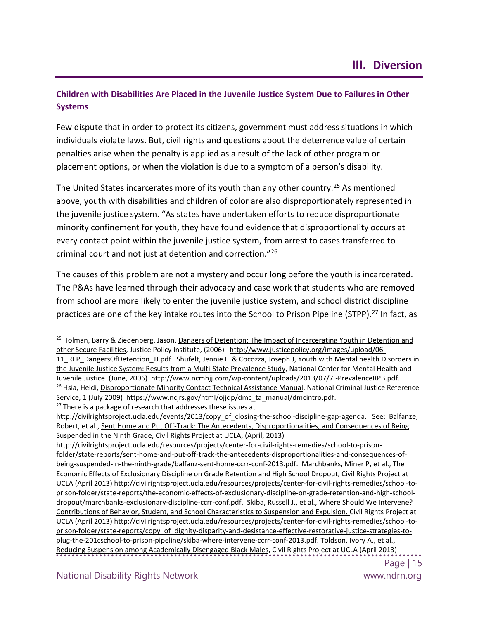## **Children with Disabilities Are Placed in the Juvenile Justice System Due to Failures in Other Systems**

Few dispute that in order to protect its citizens, government must address situations in which individuals violate laws. But, civil rights and questions about the deterrence value of certain penalties arise when the penalty is applied as a result of the lack of other program or placement options, or when the violation is due to a symptom of a person's disability.

The United States incarcerates more of its youth than any other country.<sup>[25](#page-14-0)</sup> As mentioned above, youth with disabilities and children of color are also disproportionately represented in the juvenile justice system. "As states have undertaken efforts to reduce disproportionate minority confinement for youth, they have found evidence that disproportionality occurs at every contact point within the juvenile justice system, from arrest to cases transferred to criminal court and not just at detention and correction."[26](#page-14-1) 

The causes of this problem are not a mystery and occur long before the youth is incarcerated. The P&As have learned through their advocacy and case work that students who are removed from school are more likely to enter the juvenile justice system, and school district discipline practices are one of the key intake routes into the School to Prison Pipeline (STPP).<sup>[27](#page-14-2)</sup> In fact, as

<span id="page-14-0"></span><sup>&</sup>lt;sup>25</sup> Holman, Barry & Ziedenberg, Jason, Dangers of Detention: The Impact of Incarcerating Youth in Detention and other Secure Facilities, Justice Policy Institute, (2006) [http://www.justicepolicy.org/images/upload/06-](http://www.justicepolicy.org/images/upload/06-11_REP_DangersOfDetention_JJ.pdf) 11 REP\_DangersOfDetention\_JJ.pdf. Shufelt, Jennie L. & Cocozza, Joseph J, Youth with Mental health Disorders in the Juvenile Justice System: Results from a Multi-State Prevalence Study, National Center for Mental Health and Juvenile Justice. (June, 2006) [http://www.ncmhjj.com/wp-content/uploads/2013/07/7.-PrevalenceRPB.pdf.](http://www.ncmhjj.com/wp-content/uploads/2013/07/7.-PrevalenceRPB.pdf) <sup>26</sup> Hsia, Heidi, Disproportionate Minority Contact Technical Assistance Manual, National Criminal Justice Reference Service, 1 (July 2009) [https://www.ncjrs.gov/html/ojjdp/dmc\\_ta\\_manual/dmcintro.pdf.](https://www.ncjrs.gov/html/ojjdp/dmc_ta_manual/dmcintro.pdf)  $27$  There is a package of research that addresses these issues at

<span id="page-14-2"></span><span id="page-14-1"></span>[http://civilrightsproject.ucla.edu/events/2013/copy\\_of\\_closing-the-school-discipline-gap-agenda.](http://civilrightsproject.ucla.edu/events/2013/copy_of_closing-the-school-discipline-gap-agenda) See: Balfanze, Robert, et al., Sent Home and Put Off-Track: The Antecedents, Disproportionalities, and Consequences of Being Suspended in the Ninth Grade, Civil Rights Project at UCLA, (April, 2013)

[http://civilrightsproject.ucla.edu/resources/projects/center-for-civil-rights-remedies/school-to-prison](http://civilrightsproject.ucla.edu/resources/projects/center-for-civil-rights-remedies/school-to-prison-folder/state-reports/sent-home-and-put-off-track-the-antecedents-disproportionalities-and-consequences-of-being-suspended-in-the-ninth-grade/balfanz-sent-home-ccrr-conf-2013.pdf)[folder/state-reports/sent-home-and-put-off-track-the-antecedents-disproportionalities-and-consequences-of](http://civilrightsproject.ucla.edu/resources/projects/center-for-civil-rights-remedies/school-to-prison-folder/state-reports/sent-home-and-put-off-track-the-antecedents-disproportionalities-and-consequences-of-being-suspended-in-the-ninth-grade/balfanz-sent-home-ccrr-conf-2013.pdf)[being-suspended-in-the-ninth-grade/balfanz-sent-home-ccrr-conf-2013.pdf.](http://civilrightsproject.ucla.edu/resources/projects/center-for-civil-rights-remedies/school-to-prison-folder/state-reports/sent-home-and-put-off-track-the-antecedents-disproportionalities-and-consequences-of-being-suspended-in-the-ninth-grade/balfanz-sent-home-ccrr-conf-2013.pdf) Marchbanks, Miner P, et al., The Economic Effects of Exclusionary Discipline on Grade Retention and High School Dropout, Civil Rights Project at UCLA (April 2013) [http://civilrightsproject.ucla.edu/resources/projects/center-for-civil-rights-remedies/school-to](http://civilrightsproject.ucla.edu/resources/projects/center-for-civil-rights-remedies/school-to-prison-folder/state-reports/the-economic-effects-of-exclusionary-discipline-on-grade-retention-and-high-school-dropout/marchbanks-exclusionary-discipline-ccrr-conf.pdf)[prison-folder/state-reports/the-economic-effects-of-exclusionary-discipline-on-grade-retention-and-high-school](http://civilrightsproject.ucla.edu/resources/projects/center-for-civil-rights-remedies/school-to-prison-folder/state-reports/the-economic-effects-of-exclusionary-discipline-on-grade-retention-and-high-school-dropout/marchbanks-exclusionary-discipline-ccrr-conf.pdf)[dropout/marchbanks-exclusionary-discipline-ccrr-conf.pdf.](http://civilrightsproject.ucla.edu/resources/projects/center-for-civil-rights-remedies/school-to-prison-folder/state-reports/the-economic-effects-of-exclusionary-discipline-on-grade-retention-and-high-school-dropout/marchbanks-exclusionary-discipline-ccrr-conf.pdf) Skiba, Russell J., et al., Where Should We Intervene? Contributions of Behavior, Student, and School Characteristics to Suspension and Expulsion. Civil Rights Project at UCLA (April 2013) [http://civilrightsproject.ucla.edu/resources/projects/center-for-civil-rights-remedies/school-to](http://civilrightsproject.ucla.edu/resources/projects/center-for-civil-rights-remedies/school-to-prison-folder/state-reports/copy_of_dignity-disparity-and-desistance-effective-restorative-justice-strategies-to-plug-the-201cschool-to-prison-pipeline/skiba-where-intervene-ccrr-conf-2013.pdf)[prison-folder/state-reports/copy\\_of\\_dignity-disparity-and-desistance-effective-restorative-justice-strategies-to](http://civilrightsproject.ucla.edu/resources/projects/center-for-civil-rights-remedies/school-to-prison-folder/state-reports/copy_of_dignity-disparity-and-desistance-effective-restorative-justice-strategies-to-plug-the-201cschool-to-prison-pipeline/skiba-where-intervene-ccrr-conf-2013.pdf)[plug-the-201cschool-to-prison-pipeline/skiba-where-intervene-ccrr-conf-2013.pdf.](http://civilrightsproject.ucla.edu/resources/projects/center-for-civil-rights-remedies/school-to-prison-folder/state-reports/copy_of_dignity-disparity-and-desistance-effective-restorative-justice-strategies-to-plug-the-201cschool-to-prison-pipeline/skiba-where-intervene-ccrr-conf-2013.pdf) Toldson, Ivory A., et al., Reducing Suspension among Academically Disengaged Black Males, Civil Rights Project at UCLA (April 2013)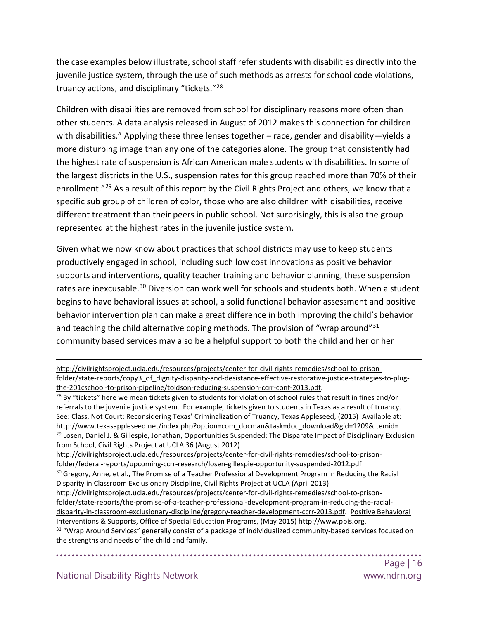the case examples below illustrate, school staff refer students with disabilities directly into the juvenile justice system, through the use of such methods as arrests for school code violations, truancy actions, and disciplinary "tickets."[28](#page-15-0)

Children with disabilities are removed from school for disciplinary reasons more often than other students. A data analysis released in August of 2012 makes this connection for children with disabilities." Applying these three lenses together – race, gender and disability—yields a more disturbing image than any one of the categories alone. The group that consistently had the highest rate of suspension is African American male students with disabilities. In some of the largest districts in the U.S., suspension rates for this group reached more than 70% of their enrollment."[29](#page-15-1) As a result of this report by the Civil Rights Project and others, we know that a specific sub group of children of color, those who are also children with disabilities, receive different treatment than their peers in public school. Not surprisingly, this is also the group represented at the highest rates in the juvenile justice system.

Given what we now know about practices that school districts may use to keep students productively engaged in school, including such low cost innovations as positive behavior supports and interventions, quality teacher training and behavior planning, these suspension rates are inexcusable.<sup>[30](#page-15-2)</sup> Diversion can work well for schools and students both. When a student begins to have behavioral issues at school, a solid functional behavior assessment and positive behavior intervention plan can make a great difference in both improving the child's behavior and teaching the child alternative coping methods. The provision of "wrap around"<sup>[31](#page-15-3)</sup> community based services may also be a helpful support to both the child and her or her

<span id="page-15-0"></span><sup>28</sup> By "tickets" here we mean tickets given to students for violation of school rules that result in fines and/or referrals to the juvenile justice system. For example, tickets given to students in Texas as a result of truancy. See: Class, Not Court; Reconsidering Texas' Criminalization of Truancy, Texas Appleseed, (2015) Available at: http://www.texasappleseed.net/index.php?option=com\_docman&task=doc\_download&gid=1209&Itemid= <sup>29</sup> Losen, Daniel J. & Gillespie, Jonathan, Opportunities Suspended: The Disparate Impact of Disciplinary Exclusion from School, Civil Rights Project at UCLA 36 (August 2012)

<span id="page-15-2"></span><span id="page-15-1"></span>[http://civilrightsproject.ucla.edu/resources/projects/center-for-civil-rights-remedies/school-to-prison](http://civilrightsproject.ucla.edu/resources/projects/center-for-civil-rights-remedies/school-to-prison-folder/federal-reports/upcoming-ccrr-research/losen-gillespie-opportunity-suspended-2012.pdf)[folder/federal-reports/upcoming-ccrr-research/losen-gillespie-opportunity-suspended-2012.pdf](http://civilrightsproject.ucla.edu/resources/projects/center-for-civil-rights-remedies/school-to-prison-folder/federal-reports/upcoming-ccrr-research/losen-gillespie-opportunity-suspended-2012.pdf) <sup>30</sup> Gregory, Anne, et al., The Promise of a Teacher Professional Development Program in Reducing the Racial Disparity in Classroom Exclusionary Discipline, Civil Rights Project at UCLA (April 2013) [http://civilrightsproject.ucla.edu/resources/projects/center-for-civil-rights-remedies/school-to-prison](http://civilrightsproject.ucla.edu/resources/projects/center-for-civil-rights-remedies/school-to-prison-folder/state-reports/the-promise-of-a-teacher-professional-development-program-in-reducing-the-racial-disparity-in-classroom-exclusionary-discipline/gregory-teacher-development-ccrr-2013.pdf)[folder/state-reports/the-promise-of-a-teacher-professional-development-program-in-reducing-the-racial](http://civilrightsproject.ucla.edu/resources/projects/center-for-civil-rights-remedies/school-to-prison-folder/state-reports/the-promise-of-a-teacher-professional-development-program-in-reducing-the-racial-disparity-in-classroom-exclusionary-discipline/gregory-teacher-development-ccrr-2013.pdf)[disparity-in-classroom-exclusionary-discipline/gregory-teacher-development-ccrr-2013.pdf.](http://civilrightsproject.ucla.edu/resources/projects/center-for-civil-rights-remedies/school-to-prison-folder/state-reports/the-promise-of-a-teacher-professional-development-program-in-reducing-the-racial-disparity-in-classroom-exclusionary-discipline/gregory-teacher-development-ccrr-2013.pdf) Positive Behavioral Interventions & Supports, Office of Special Education Programs, (May 2015) [http://www.pbis.org.](http://www.pbis.org/)

<span id="page-15-3"></span><sup>31</sup> "Wrap Around Services" generally consist of a package of individualized community-based services focused on the strengths and needs of the child and family.

National Disability Rights Network www.ndrn.org

l

[http://civilrightsproject.ucla.edu/resources/projects/center-for-civil-rights-remedies/school-to-prison](http://civilrightsproject.ucla.edu/resources/projects/center-for-civil-rights-remedies/school-to-prison-folder/state-reports/copy3_of_dignity-disparity-and-desistance-effective-restorative-justice-strategies-to-plug-the-201cschool-to-prison-pipeline/toldson-reducing-suspension-ccrr-conf-2013.pdf)[folder/state-reports/copy3\\_of\\_dignity-disparity-and-desistance-effective-restorative-justice-strategies-to-plug](http://civilrightsproject.ucla.edu/resources/projects/center-for-civil-rights-remedies/school-to-prison-folder/state-reports/copy3_of_dignity-disparity-and-desistance-effective-restorative-justice-strategies-to-plug-the-201cschool-to-prison-pipeline/toldson-reducing-suspension-ccrr-conf-2013.pdf)[the-201cschool-to-prison-pipeline/toldson-reducing-suspension-ccrr-conf-2013.pdf.](http://civilrightsproject.ucla.edu/resources/projects/center-for-civil-rights-remedies/school-to-prison-folder/state-reports/copy3_of_dignity-disparity-and-desistance-effective-restorative-justice-strategies-to-plug-the-201cschool-to-prison-pipeline/toldson-reducing-suspension-ccrr-conf-2013.pdf)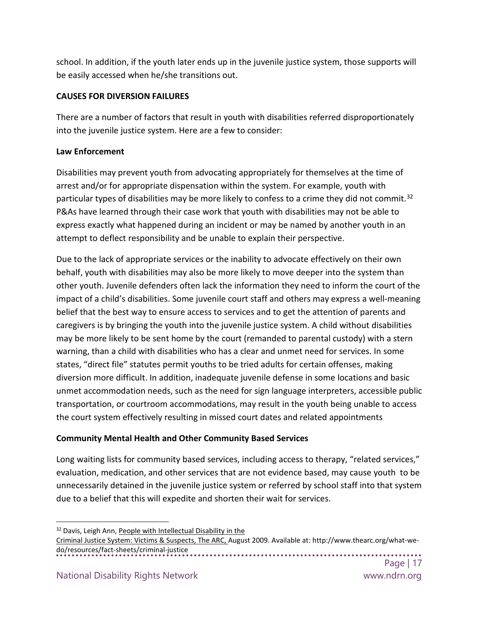school. In addition, if the youth later ends up in the juvenile justice system, those supports will be easily accessed when he/she transitions out.

## **CAUSES FOR DIVERSION FAILURES**

There are a number of factors that result in youth with disabilities referred disproportionately into the juvenile justice system. Here are a few to consider:

## **Law Enforcement**

Disabilities may prevent youth from advocating appropriately for themselves at the time of arrest and/or for appropriate dispensation within the system. For example, youth with particular types of disabilities may be more likely to confess to a crime they did not commit.<sup>[32](#page-16-0)</sup> P&As have learned through their case work that youth with disabilities may not be able to express exactly what happened during an incident or may be named by another youth in an attempt to deflect responsibility and be unable to explain their perspective.

Due to the lack of appropriate services or the inability to advocate effectively on their own behalf, youth with disabilities may also be more likely to move deeper into the system than other youth. Juvenile defenders often lack the information they need to inform the court of the impact of a child's disabilities. Some juvenile court staff and others may express a well-meaning belief that the best way to ensure access to services and to get the attention of parents and caregivers is by bringing the youth into the juvenile justice system. A child without disabilities may be more likely to be sent home by the court (remanded to parental custody) with a stern warning, than a child with disabilities who has a clear and unmet need for services. In some states, "direct file" statutes permit youths to be tried adults for certain offenses, making diversion more difficult. In addition, inadequate juvenile defense in some locations and basic unmet accommodation needs, such as the need for sign language interpreters, accessible public transportation, or courtroom accommodations, may result in the youth being unable to access the court system effectively resulting in missed court dates and related appointments

## **Community Mental Health and Other Community Based Services**

Long waiting lists for community based services, including access to therapy, "related services," evaluation, medication, and other services that are not evidence based, may cause youth to be unnecessarily detained in the juvenile justice system or referred by school staff into that system due to a belief that this will expedite and shorten their wait for services.

<span id="page-16-0"></span><sup>&</sup>lt;sup>32</sup> Davis, Leigh Ann, People with Intellectual Disability in the

Criminal Justice System: Victims & Suspects, The ARC, August 2009. Available at: http://www.thearc.org/what-wedo/resources/fact-sheets/criminal-justice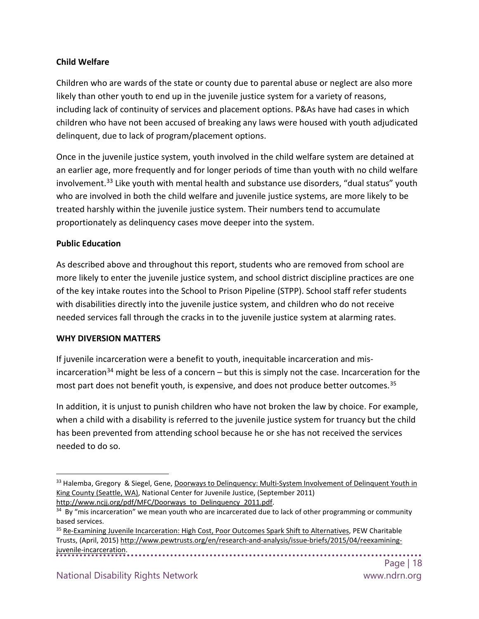## **Child Welfare**

Children who are wards of the state or county due to parental abuse or neglect are also more likely than other youth to end up in the juvenile justice system for a variety of reasons, including lack of continuity of services and placement options. P&As have had cases in which children who have not been accused of breaking any laws were housed with youth adjudicated delinquent, due to lack of program/placement options.

Once in the juvenile justice system, youth involved in the child welfare system are detained at an earlier age, more frequently and for longer periods of time than youth with no child welfare involvement.<sup>[33](#page-17-0)</sup> Like youth with mental health and substance use disorders, "dual status" youth who are involved in both the child welfare and juvenile justice systems, are more likely to be treated harshly within the juvenile justice system. Their numbers tend to accumulate proportionately as delinquency cases move deeper into the system.

## **Public Education**

As described above and throughout this report, students who are removed from school are more likely to enter the juvenile justice system, and school district discipline practices are one of the key intake routes into the School to Prison Pipeline (STPP). School staff refer students with disabilities directly into the juvenile justice system, and children who do not receive needed services fall through the cracks in to the juvenile justice system at alarming rates.

## **WHY DIVERSION MATTERS**

If juvenile incarceration were a benefit to youth, inequitable incarceration and mis-incarceration<sup>[34](#page-17-1)</sup> might be less of a concern – but this is simply not the case. Incarceration for the most part does not benefit youth, is expensive, and does not produce better outcomes.<sup>35</sup>

In addition, it is unjust to punish children who have not broken the law by choice. For example, when a child with a disability is referred to the juvenile justice system for truancy but the child has been prevented from attending school because he or she has not received the services needed to do so.

<span id="page-17-0"></span><sup>33</sup> Halemba, Gregory & Siegel, Gene, Doorways to Delinquency: Multi-System Involvement of Delinquent Youth in King County (Seattle, WA), National Center for Juvenile Justice, (September 2011) [http://www.ncjj.org/pdf/MFC/Doorways\\_to\\_Delinquency\\_2011.pdf.](http://www.ncjj.org/pdf/MFC/Doorways_to_Delinquency_2011.pdf)

<span id="page-17-1"></span><sup>&</sup>lt;sup>34</sup> By "mis incarceration" we mean youth who are incarcerated due to lack of other programming or community based services.

<span id="page-17-2"></span><sup>&</sup>lt;sup>35</sup> Re-Examining Juvenile Incarceration: High Cost, Poor Outcomes Spark Shift to Alternatives, PEW Charitable Trusts, (April, 2015) [http://www.pewtrusts.org/en/research-and-analysis/issue-briefs/2015/04/reexamining](http://www.pewtrusts.org/en/research-and-analysis/issue-briefs/2015/04/reexamining-juvenile-incarceration)[juvenile-incarceration.](http://www.pewtrusts.org/en/research-and-analysis/issue-briefs/2015/04/reexamining-juvenile-incarceration)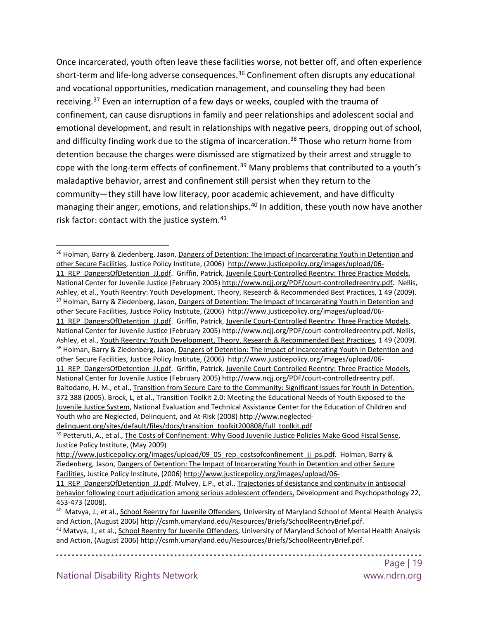Once incarcerated, youth often leave these facilities worse, not better off, and often experience short-term and life-long adverse consequences.<sup>[36](#page-18-0)</sup> Confinement often disrupts any educational and vocational opportunities, medication management, and counseling they had been receiving.[37](#page-18-1) Even an interruption of a few days or weeks, coupled with the trauma of confinement, can cause disruptions in family and peer relationships and adolescent social and emotional development, and result in relationships with negative peers, dropping out of school, and difficulty finding work due to the stigma of incarceration.<sup>38</sup> Those who return home from detention because the charges were dismissed are stigmatized by their arrest and struggle to cope with the long-term effects of confinement.<sup>[39](#page-18-3)</sup> Many problems that contributed to a youth's maladaptive behavior, arrest and confinement still persist when they return to the community—they still have low literacy, poor academic achievement, and have difficulty managing their anger, emotions, and relationships.<sup>[40](#page-18-4)</sup> In addition, these youth now have another risk factor: contact with the justice system. [41](#page-18-5)

<span id="page-18-1"></span><span id="page-18-0"></span><sup>36</sup> Holman, Barry & Ziedenberg, Jason, Dangers of Detention: The Impact of Incarcerating Youth in Detention and other Secure Facilities, Justice Policy Institute, (2006) [http://www.justicepolicy.org/images/upload/06-](http://www.justicepolicy.org/images/upload/06-11_REP_DangersOfDetention_JJ.pdf) [11\\_REP\\_DangersOfDetention\\_JJ.pdf.](http://www.justicepolicy.org/images/upload/06-11_REP_DangersOfDetention_JJ.pdf) Griffin, Patrick, Juvenile Court-Controlled Reentry: Three Practice Models, National Center for Juvenile Justice (February 2005) [http://www.ncjj.org/PDF/court-controlledreentry.pdf.](http://www.ncjj.org/PDF/court-controlledreentry.pdf) Nellis, Ashley, et al., Youth Reentry: Youth Development, Theory, Research & Recommended Best Practices, 1 49 (2009). <sup>37</sup> Holman, Barry & Ziedenberg, Jason, Dangers of Detention: The Impact of Incarcerating Youth in Detention and other Secure Facilities, Justice Policy Institute, (2006) [http://www.justicepolicy.org/images/upload/06-](http://www.justicepolicy.org/images/upload/06-11_REP_DangersOfDetention_JJ.pdf) [11\\_REP\\_DangersOfDetention\\_JJ.pdf.](http://www.justicepolicy.org/images/upload/06-11_REP_DangersOfDetention_JJ.pdf) Griffin, Patrick, Juvenile Court-Controlled Reentry: Three Practice Models, National Center for Juvenile Justice (February 2005) [http://www.ncjj.org/PDF/court-controlledreentry.pdf.](http://www.ncjj.org/PDF/court-controlledreentry.pdf) Nellis, Ashley, et al., Youth Reentry: Youth Development, Theory, Research & Recommended Best Practices, 1 49 (2009). <sup>38</sup> Holman, Barry & Ziedenberg, Jason, Dangers of Detention: The Impact of Incarcerating Youth in Detention and other Secure Facilities, Justice Policy Institute, (2006) [http://www.justicepolicy.org/images/upload/06-](http://www.justicepolicy.org/images/upload/06-11_REP_DangersOfDetention_JJ.pdf) [11\\_REP\\_DangersOfDetention\\_JJ.pdf.](http://www.justicepolicy.org/images/upload/06-11_REP_DangersOfDetention_JJ.pdf) Griffin, Patrick, Juvenile Court-Controlled Reentry: Three Practice Models, National Center for Juvenile Justice (February 2005) [http://www.ncjj.org/PDF/court-controlledreentry.pdf.](http://www.ncjj.org/PDF/court-controlledreentry.pdf) Baltodano, H. M., et al., Transition from Secure Care to the Community: Significant Issues for Youth in Detention. 372 388 (2005). Brock, L, et al., Transition Toolkit 2.0: Meeting the Educational Needs of Youth Exposed to the Juvenile Justice System, National Evaluation and Technical Assistance Center for the Education of Children and Youth who are Neglected, Delinquent, and At-Risk (2008) [http://www.neglected](http://www.neglected-delinquent.org/sites/default/files/docs/transition_toolkit200808/full_toolkit.pdf)[delinquent.org/sites/default/files/docs/transition\\_toolkit200808/full\\_toolkit.pdf](http://www.neglected-delinquent.org/sites/default/files/docs/transition_toolkit200808/full_toolkit.pdf)

<span id="page-18-3"></span><span id="page-18-2"></span><sup>39</sup> Petteruti, A., et al., The Costs of Confinement: Why Good Juvenile Justice Policies Make Good Fiscal Sense, Justice Policy Institute, (May 2009)

<span id="page-18-4"></span><sup>40</sup> Matvya, J., et al., School Reentry for Juvenile Offenders, University of Maryland School of Mental Health Analysis and Action, (August 2006[\) http://csmh.umaryland.edu/Resources/Briefs/SchoolReentryBrief.pdf.](http://csmh.umaryland.edu/Resources/Briefs/SchoolReentryBrief.pdf)

National Disability Rights Network www.ndrn.org

[http://www.justicepolicy.org/images/upload/09\\_05\\_rep\\_costsofconfinement\\_jj\\_ps.pdf.](http://www.justicepolicy.org/images/upload/09_05_rep_costsofconfinement_jj_ps.pdf) Holman, Barry & Ziedenberg, Jason, Dangers of Detention: The Impact of Incarcerating Youth in Detention and other Secure Facilities, Justice Policy Institute, (2006) [http://www.justicepolicy.org/images/upload/06-](http://www.justicepolicy.org/images/upload/06-11_REP_DangersOfDetention_JJ.pdf)

[<sup>11</sup>\\_REP\\_DangersOfDetention\\_JJ.pdf.](http://www.justicepolicy.org/images/upload/06-11_REP_DangersOfDetention_JJ.pdf) Mulvey, E.P., et al., Trajectories of desistance and continuity in antisocial behavior following court adjudication among serious adolescent offenders, Development and Psychopathology 22, 453-473 (2008).

<span id="page-18-5"></span><sup>41</sup> Matvya, J., et al., School Reentry for Juvenile Offenders, University of Maryland School of Mental Health Analysis and Action, (August 2006[\) http://csmh.umaryland.edu/Resources/Briefs/SchoolReentryBrief.pdf.](http://csmh.umaryland.edu/Resources/Briefs/SchoolReentryBrief.pdf)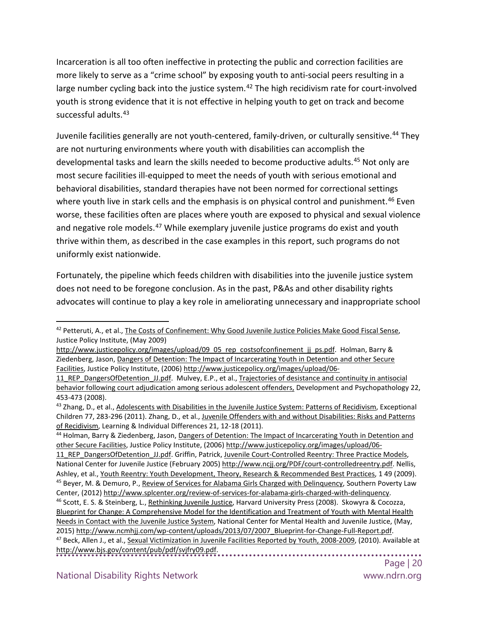Incarceration is all too often ineffective in protecting the public and correction facilities are more likely to serve as a "crime school" by exposing youth to anti-social peers resulting in a large number cycling back into the justice system.<sup>[42](#page-19-0)</sup> The high recidivism rate for court-involved youth is strong evidence that it is not effective in helping youth to get on track and become successful adults.[43](#page-19-1)

Juvenile facilities generally are not youth-centered, family-driven, or culturally sensitive.<sup>[44](#page-19-2)</sup> They are not nurturing environments where youth with disabilities can accomplish the developmental tasks and learn the skills needed to become productive adults.<sup>[45](#page-19-3)</sup> Not only are most secure facilities ill-equipped to meet the needs of youth with serious emotional and behavioral disabilities, standard therapies have not been normed for correctional settings where youth live in stark cells and the emphasis is on physical control and punishment.<sup>[46](#page-19-4)</sup> Even worse, these facilities often are places where youth are exposed to physical and sexual violence and negative role models.<sup>[47](#page-19-5)</sup> While exemplary juvenile justice programs do exist and youth thrive within them, as described in the case examples in this report, such programs do not uniformly exist nationwide.

Fortunately, the pipeline which feeds children with disabilities into the juvenile justice system does not need to be foregone conclusion. As in the past, P&As and other disability rights advocates will continue to play a key role in ameliorating unnecessary and inappropriate school

<span id="page-19-0"></span><sup>&</sup>lt;sup>42</sup> Petteruti, A., et al., *The Costs of Confinement: Why Good Juvenile Justice Policies Make Good Fiscal Sense.* Justice Policy Institute, (May 2009)

[http://www.justicepolicy.org/images/upload/09\\_05\\_rep\\_costsofconfinement\\_jj\\_ps.pdf.](http://www.justicepolicy.org/images/upload/09_05_rep_costsofconfinement_jj_ps.pdf) Holman, Barry & Ziedenberg, Jason, Dangers of Detention: The Impact of Incarcerating Youth in Detention and other Secure Facilities, Justice Policy Institute, (2006) [http://www.justicepolicy.org/images/upload/06-](http://www.justicepolicy.org/images/upload/06-11_REP_DangersOfDetention_JJ.pdf)

<sup>11</sup> REP\_DangersOfDetention\_JJ.pdf. Mulvey, E.P., et al., Trajectories of desistance and continuity in antisocial behavior following court adjudication among serious adolescent offenders, Development and Psychopathology 22, 453-473 (2008).

<span id="page-19-1"></span><sup>&</sup>lt;sup>43</sup> Zhang, D., et al., Adolescents with Disabilities in the Juvenile Justice System: Patterns of Recidivism, Exceptional Children 77, 283-296 (2011). Zhang, D., et al., Juvenile Offenders with and without Disabilities: Risks and Patterns of Recidivism, Learning & Individual Differences 21, 12-18 (2011).

<span id="page-19-2"></span><sup>44</sup> Holman, Barry & Ziedenberg, Jason, Dangers of Detention: The Impact of Incarcerating Youth in Detention and other Secure Facilities, Justice Policy Institute, (2006) [http://www.justicepolicy.org/images/upload/06-](http://www.justicepolicy.org/images/upload/06-11_REP_DangersOfDetention_JJ.pdf)

<span id="page-19-5"></span><span id="page-19-4"></span><span id="page-19-3"></span>[<sup>11</sup>\\_REP\\_DangersOfDetention\\_JJ.pdf.](http://www.justicepolicy.org/images/upload/06-11_REP_DangersOfDetention_JJ.pdf) Griffin, Patrick, Juvenile Court-Controlled Reentry: Three Practice Models, National Center for Juvenile Justice (February 2005) [http://www.ncjj.org/PDF/court-controlledreentry.pdf.](http://www.ncjj.org/PDF/court-controlledreentry.pdf) Nellis, Ashley, et al., Youth Reentry: Youth Development, Theory, Research & Recommended Best Practices, 1 49 (2009).<br><sup>45</sup> Beyer, M. & Demuro, P., Review of Services for Alabama Girls Charged with Delinquency, Southern Poverty Law Center, (2012[\) http://www.splcenter.org/review-of-services-for-alabama-girls-charged-with-delinquency.](http://www.splcenter.org/review-of-services-for-alabama-girls-charged-with-delinquency) <sup>46</sup> Scott, E. S. & Steinberg, L., Rethinking Juvenile Justice, Harvard University Press (2008). Skowyra & Cocozza, Blueprint for Change: A Comprehensive Model for the Identification and Treatment of Youth with Mental Health Needs in Contact with the Juvenile Justice System, National Center for Mental Health and Juvenile Justice, (May, 2015[\) http://www.ncmhjj.com/wp-content/uploads/2013/07/2007\\_Blueprint-for-Change-Full-Report.pdf.](http://www.ncmhjj.com/wp-content/uploads/2013/07/2007_Blueprint-for-Change-Full-Report.pdf) <sup>47</sup> Beck, Allen J., et al., Sexual Victimization in Juvenile Facilities Reported by Youth, 2008-2009, (2010). Available at [http://www.bjs.gov/content/pub/pdf/svjfry09.pdf.](http://www.bjs.gov/content/pub/pdf/svjfry09.pdf)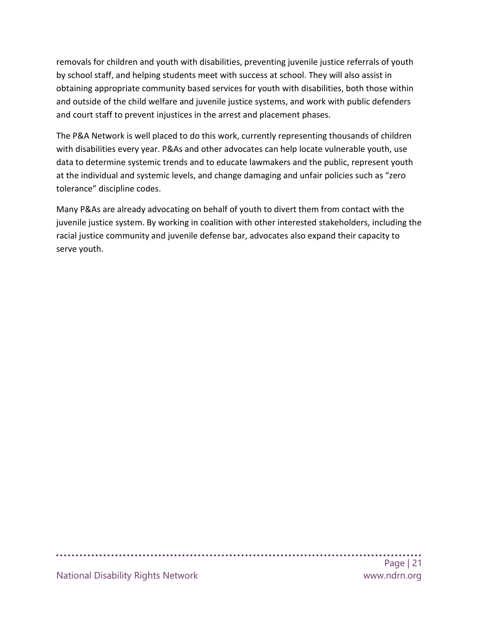removals for children and youth with disabilities, preventing juvenile justice referrals of youth by school staff, and helping students meet with success at school. They will also assist in obtaining appropriate community based services for youth with disabilities, both those within and outside of the child welfare and juvenile justice systems, and work with public defenders and court staff to prevent injustices in the arrest and placement phases.

The P&A Network is well placed to do this work, currently representing thousands of children with disabilities every year. P&As and other advocates can help locate vulnerable youth, use data to determine systemic trends and to educate lawmakers and the public, represent youth at the individual and systemic levels, and change damaging and unfair policies such as "zero tolerance" discipline codes.

Many P&As are already advocating on behalf of youth to divert them from contact with the juvenile justice system. By working in coalition with other interested stakeholders, including the racial justice community and juvenile defense bar, advocates also expand their capacity to serve youth.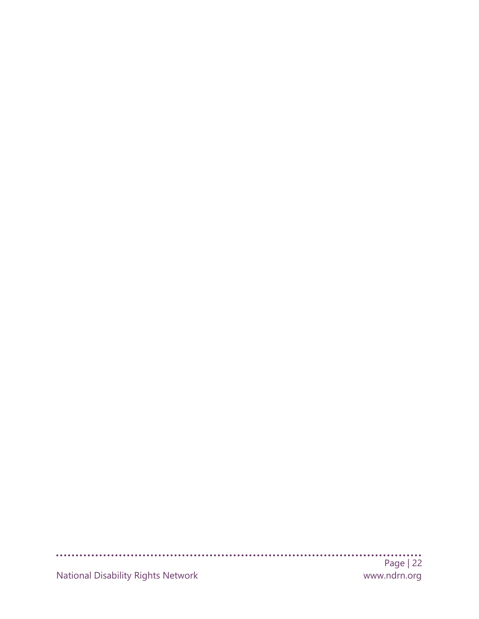Page 22<br>Www.ndrn.org National Disability Rights Network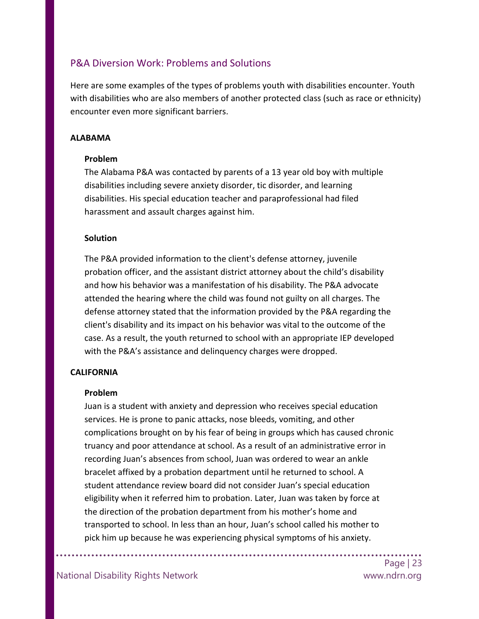## P&A Diversion Work: Problems and Solutions

Here are some examples of the types of problems youth with disabilities encounter. Youth with disabilities who are also members of another protected class (such as race or ethnicity) encounter even more significant barriers.

#### **ALABAMA**

#### **Problem**

The Alabama P&A was contacted by parents of a 13 year old boy with multiple disabilities including severe anxiety disorder, tic disorder, and learning disabilities. His special education teacher and paraprofessional had filed harassment and assault charges against him.

## **Solution**

The P&A provided information to the client's defense attorney, juvenile probation officer, and the assistant district attorney about the child's disability and how his behavior was a manifestation of his disability. The P&A advocate attended the hearing where the child was found not guilty on all charges. The defense attorney stated that the information provided by the P&A regarding the client's disability and its impact on his behavior was vital to the outcome of the case. As a result, the youth returned to school with an appropriate IEP developed with the P&A's assistance and delinquency charges were dropped.

## **CALIFORNIA**

#### **Problem**

Juan is a student with anxiety and depression who receives special education services. He is prone to panic attacks, nose bleeds, vomiting, and other complications brought on by his fear of being in groups which has caused chronic truancy and poor attendance at school. As a result of an administrative error in recording Juan's absences from school, Juan was ordered to wear an ankle bracelet affixed by a probation department until he returned to school. A student attendance review board did not consider Juan's special education eligibility when it referred him to probation. Later, Juan was taken by force at the direction of the probation department from his mother's home and transported to school. In less than an hour, Juan's school called his mother to pick him up because he was experiencing physical symptoms of his anxiety.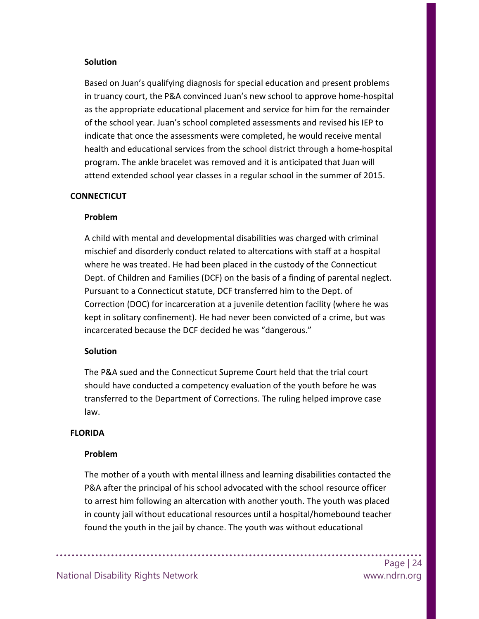#### **Solution**

Based on Juan's qualifying diagnosis for special education and present problems in truancy court, the P&A convinced Juan's new school to approve home-hospital as the appropriate educational placement and service for him for the remainder of the school year. Juan's school completed assessments and revised his IEP to indicate that once the assessments were completed, he would receive mental health and educational services from the school district through a home-hospital program. The ankle bracelet was removed and it is anticipated that Juan will attend extended school year classes in a regular school in the summer of 2015.

#### **CONNECTICUT**

#### **Problem**

A child with mental and developmental disabilities was charged with criminal mischief and disorderly conduct related to altercations with staff at a hospital where he was treated. He had been placed in the custody of the Connecticut Dept. of Children and Families (DCF) on the basis of a finding of parental neglect. Pursuant to a Connecticut statute, DCF transferred him to the Dept. of Correction (DOC) for incarceration at a juvenile detention facility (where he was kept in solitary confinement). He had never been convicted of a crime, but was incarcerated because the DCF decided he was "dangerous."

#### **Solution**

The P&A sued and the Connecticut Supreme Court held that the trial court should have conducted a competency evaluation of the youth before he was transferred to the Department of Corrections. The ruling helped improve case law.

#### **FLORIDA**

#### **Problem**

The mother of a youth with mental illness and learning disabilities contacted the P&A after the principal of his school advocated with the school resource officer to arrest him following an altercation with another youth. The youth was placed in county jail without educational resources until a hospital/homebound teacher found the youth in the jail by chance. The youth was without educational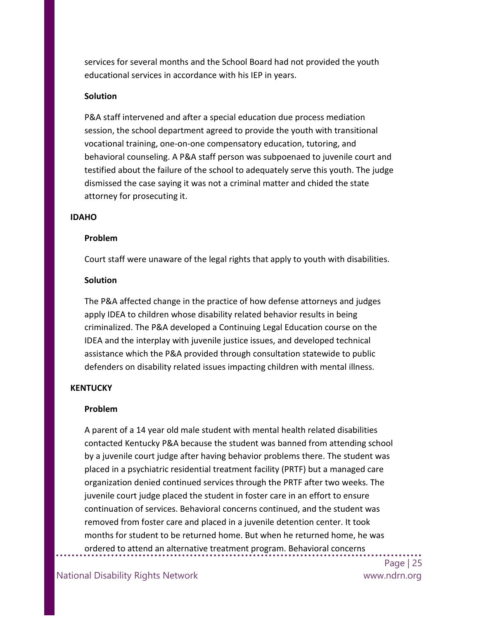services for several months and the School Board had not provided the youth educational services in accordance with his IEP in years.

#### **Solution**

P&A staff intervened and after a special education due process mediation session, the school department agreed to provide the youth with transitional vocational training, one-on-one compensatory education, tutoring, and behavioral counseling. A P&A staff person was subpoenaed to juvenile court and testified about the failure of the school to adequately serve this youth. The judge dismissed the case saying it was not a criminal matter and chided the state attorney for prosecuting it.

#### **IDAHO**

#### **Problem**

Court staff were unaware of the legal rights that apply to youth with disabilities.

#### **Solution**

The P&A affected change in the practice of how defense attorneys and judges apply IDEA to children whose disability related behavior results in being criminalized. The P&A developed a Continuing Legal Education course on the IDEA and the interplay with juvenile justice issues, and developed technical assistance which the P&A provided through consultation statewide to public defenders on disability related issues impacting children with mental illness.

#### **KENTUCKY**

#### **Problem**

A parent of a 14 year old male student with mental health related disabilities contacted Kentucky P&A because the student was banned from attending school by a juvenile court judge after having behavior problems there. The student was placed in a psychiatric residential treatment facility (PRTF) but a managed care organization denied continued services through the PRTF after two weeks. The juvenile court judge placed the student in foster care in an effort to ensure continuation of services. Behavioral concerns continued, and the student was removed from foster care and placed in a juvenile detention center. It took months for student to be returned home. But when he returned home, he was ordered to attend an alternative treatment program. Behavioral concerns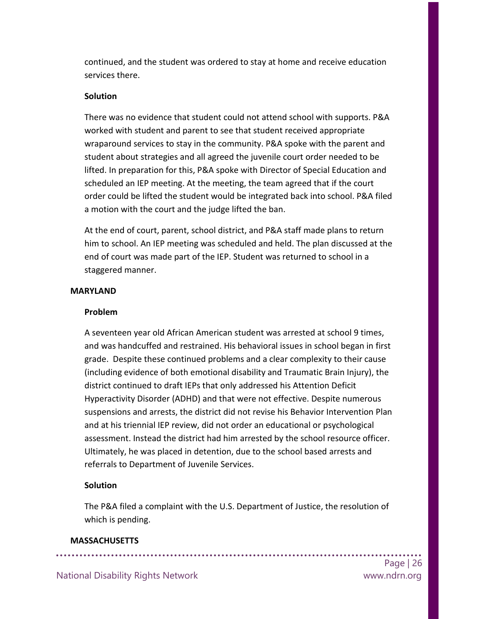continued, and the student was ordered to stay at home and receive education services there.

#### **Solution**

There was no evidence that student could not attend school with supports. P&A worked with student and parent to see that student received appropriate wraparound services to stay in the community. P&A spoke with the parent and student about strategies and all agreed the juvenile court order needed to be lifted. In preparation for this, P&A spoke with Director of Special Education and scheduled an IEP meeting. At the meeting, the team agreed that if the court order could be lifted the student would be integrated back into school. P&A filed a motion with the court and the judge lifted the ban.

At the end of court, parent, school district, and P&A staff made plans to return him to school. An IEP meeting was scheduled and held. The plan discussed at the end of court was made part of the IEP. Student was returned to school in a staggered manner.

#### **MARYLAND**

#### **Problem**

A seventeen year old African American student was arrested at school 9 times, and was handcuffed and restrained. His behavioral issues in school began in first grade. Despite these continued problems and a clear complexity to their cause (including evidence of both emotional disability and Traumatic Brain Injury), the district continued to draft IEPs that only addressed his Attention Deficit Hyperactivity Disorder (ADHD) and that were not effective. Despite numerous suspensions and arrests, the district did not revise his Behavior Intervention Plan and at his triennial IEP review, did not order an educational or psychological assessment. Instead the district had him arrested by the school resource officer. Ultimately, he was placed in detention, due to the school based arrests and referrals to Department of Juvenile Services.

#### **Solution**

The P&A filed a complaint with the U.S. Department of Justice, the resolution of which is pending.

#### **MASSACHUSETTS**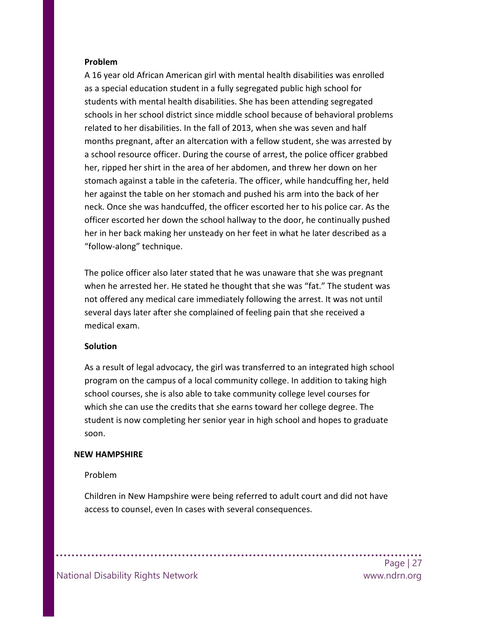#### **Problem**

A 16 year old African American girl with mental health disabilities was enrolled as a special education student in a fully segregated public high school for students with mental health disabilities. She has been attending segregated schools in her school district since middle school because of behavioral problems related to her disabilities. In the fall of 2013, when she was seven and half months pregnant, after an altercation with a fellow student, she was arrested by a school resource officer. During the course of arrest, the police officer grabbed her, ripped her shirt in the area of her abdomen, and threw her down on her stomach against a table in the cafeteria. The officer, while handcuffing her, held her against the table on her stomach and pushed his arm into the back of her neck. Once she was handcuffed, the officer escorted her to his police car. As the officer escorted her down the school hallway to the door, he continually pushed her in her back making her unsteady on her feet in what he later described as a "follow-along" technique.

The police officer also later stated that he was unaware that she was pregnant when he arrested her. He stated he thought that she was "fat." The student was not offered any medical care immediately following the arrest. It was not until several days later after she complained of feeling pain that she received a medical exam.

#### **Solution**

As a result of legal advocacy, the girl was transferred to an integrated high school program on the campus of a local community college. In addition to taking high school courses, she is also able to take community college level courses for which she can use the credits that she earns toward her college degree. The student is now completing her senior year in high school and hopes to graduate soon.

#### **NEW HAMPSHIRE**

#### Problem

Children in New Hampshire were being referred to adult court and did not have access to counsel, even In cases with several consequences.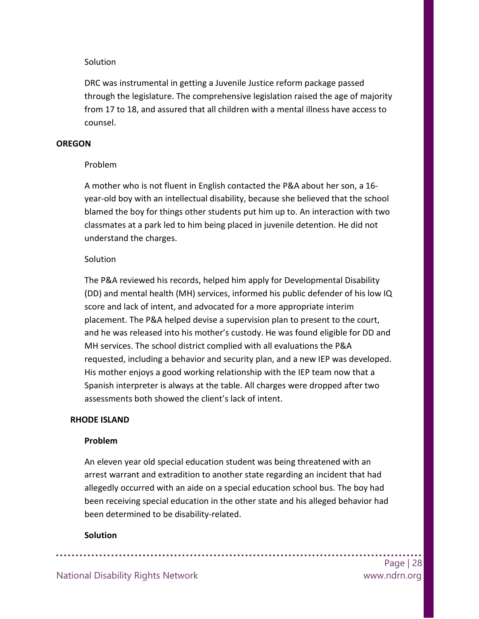#### Solution

DRC was instrumental in getting a Juvenile Justice reform package passed through the legislature. The comprehensive legislation raised the age of majority from 17 to 18, and assured that all children with a mental illness have access to counsel.

#### **OREGON**

#### Problem

A mother who is not fluent in English contacted the P&A about her son, a 16 year-old boy with an intellectual disability, because she believed that the school blamed the boy for things other students put him up to. An interaction with two classmates at a park led to him being placed in juvenile detention. He did not understand the charges.

#### Solution

The P&A reviewed his records, helped him apply for Developmental Disability (DD) and mental health (MH) services, informed his public defender of his low IQ score and lack of intent, and advocated for a more appropriate interim placement. The P&A helped devise a supervision plan to present to the court, and he was released into his mother's custody. He was found eligible for DD and MH services. The school district complied with all evaluations the P&A requested, including a behavior and security plan, and a new IEP was developed. His mother enjoys a good working relationship with the IEP team now that a Spanish interpreter is always at the table. All charges were dropped after two assessments both showed the client's lack of intent.

#### **RHODE ISLAND**

#### **Problem**

An eleven year old special education student was being threatened with an arrest warrant and extradition to another state regarding an incident that had allegedly occurred with an aide on a special education school bus. The boy had been receiving special education in the other state and his alleged behavior had been determined to be disability-related.

#### **Solution**

National Disability Rights Network www.ndrn.org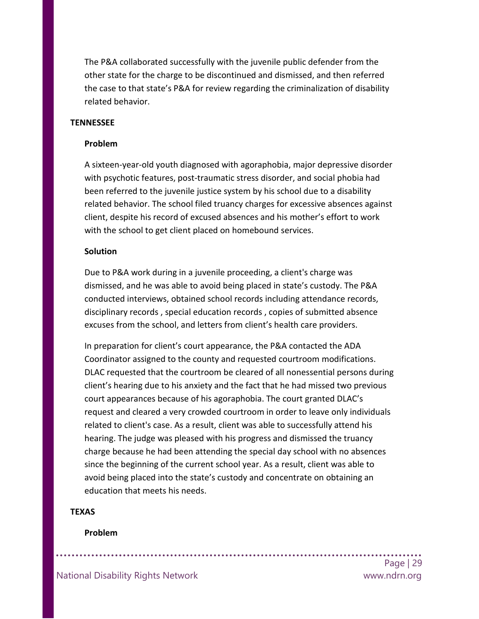The P&A collaborated successfully with the juvenile public defender from the other state for the charge to be discontinued and dismissed, and then referred the case to that state's P&A for review regarding the criminalization of disability related behavior.

#### **TENNESSEE**

#### **Problem**

A sixteen-year-old youth diagnosed with agoraphobia, major depressive disorder with psychotic features, post-traumatic stress disorder, and social phobia had been referred to the juvenile justice system by his school due to a disability related behavior. The school filed truancy charges for excessive absences against client, despite his record of excused absences and his mother's effort to work with the school to get client placed on homebound services.

#### **Solution**

Due to P&A work during in a juvenile proceeding, a client's charge was dismissed, and he was able to avoid being placed in state's custody. The P&A conducted interviews, obtained school records including attendance records, disciplinary records , special education records , copies of submitted absence excuses from the school, and letters from client's health care providers.

In preparation for client's court appearance, the P&A contacted the ADA Coordinator assigned to the county and requested courtroom modifications. DLAC requested that the courtroom be cleared of all nonessential persons during client's hearing due to his anxiety and the fact that he had missed two previous court appearances because of his agoraphobia. The court granted DLAC's request and cleared a very crowded courtroom in order to leave only individuals related to client's case. As a result, client was able to successfully attend his hearing. The judge was pleased with his progress and dismissed the truancy charge because he had been attending the special day school with no absences since the beginning of the current school year. As a result, client was able to avoid being placed into the state's custody and concentrate on obtaining an education that meets his needs.

**TEXAS**

#### **Problem**

National Disability Rights Network www.ndrn.org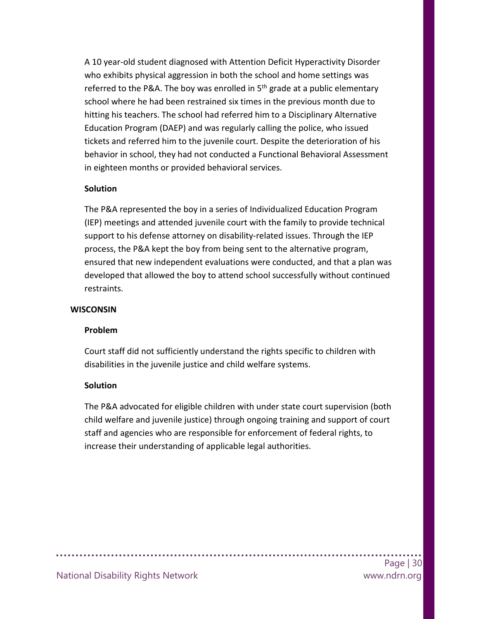A 10 year-old student diagnosed with Attention Deficit Hyperactivity Disorder who exhibits physical aggression in both the school and home settings was referred to the P&A. The boy was enrolled in  $5<sup>th</sup>$  grade at a public elementary school where he had been restrained six times in the previous month due to hitting his teachers. The school had referred him to a Disciplinary Alternative Education Program (DAEP) and was regularly calling the police, who issued tickets and referred him to the juvenile court. Despite the deterioration of his behavior in school, they had not conducted a Functional Behavioral Assessment in eighteen months or provided behavioral services.

#### **Solution**

The P&A represented the boy in a series of Individualized Education Program (IEP) meetings and attended juvenile court with the family to provide technical support to his defense attorney on disability-related issues. Through the IEP process, the P&A kept the boy from being sent to the alternative program, ensured that new independent evaluations were conducted, and that a plan was developed that allowed the boy to attend school successfully without continued restraints.

#### **WISCONSIN**

#### **Problem**

Court staff did not sufficiently understand the rights specific to children with disabilities in the juvenile justice and child welfare systems.

#### **Solution**

The P&A advocated for eligible children with under state court supervision (both child welfare and juvenile justice) through ongoing training and support of court staff and agencies who are responsible for enforcement of federal rights, to increase their understanding of applicable legal authorities.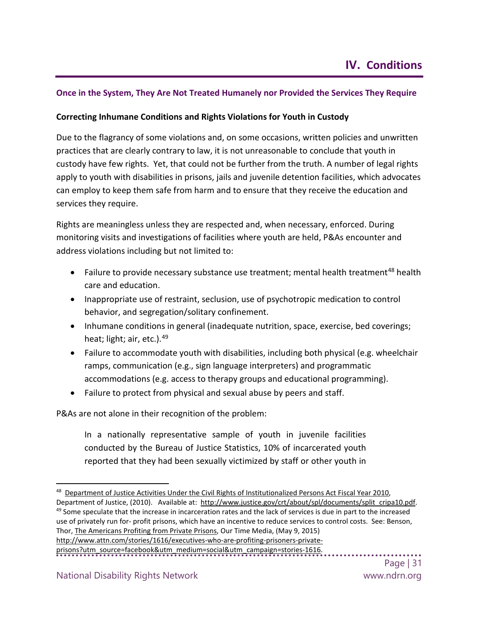## **Once in the System, They Are Not Treated Humanely nor Provided the Services They Require**

## **Correcting Inhumane Conditions and Rights Violations for Youth in Custody**

Due to the flagrancy of some violations and, on some occasions, written policies and unwritten practices that are clearly contrary to law, it is not unreasonable to conclude that youth in custody have few rights. Yet, that could not be further from the truth. A number of legal rights apply to youth with disabilities in prisons, jails and juvenile detention facilities, which advocates can employ to keep them safe from harm and to ensure that they receive the education and services they require.

Rights are meaningless unless they are respected and, when necessary, enforced. During monitoring visits and investigations of facilities where youth are held, P&As encounter and address violations including but not limited to:

- Failure to provide necessary substance use treatment; mental health treatment<sup>[48](#page-30-0)</sup> health care and education.
- Inappropriate use of restraint, seclusion, use of psychotropic medication to control behavior, and segregation/solitary confinement.
- Inhumane conditions in general (inadequate nutrition, space, exercise, bed coverings; heat; light; air, etc.).<sup>[49](#page-30-1)</sup>
- Failure to accommodate youth with disabilities, including both physical (e.g. wheelchair ramps, communication (e.g., sign language interpreters) and programmatic accommodations (e.g. access to therapy groups and educational programming).
- Failure to protect from physical and sexual abuse by peers and staff.

P&As are not alone in their recognition of the problem:

In a nationally representative sample of youth in juvenile facilities conducted by the Bureau of Justice Statistics, 10% of incarcerated youth reported that they had been sexually victimized by staff or other youth in

<span id="page-30-1"></span>Department of Justice, (2010). Available at: [http://www.justice.gov/crt/about/spl/documents/split\\_cripa10.pdf.](http://www.justice.gov/crt/about/spl/documents/split_cripa10.pdf)  $49$  Some speculate that the increase in incarceration rates and the lack of services is due in part to the increased use of privately run for- profit prisons, which have an incentive to reduce services to control costs. See: Benson, Thor, The Americans Profiting from Private Prisons, Our Time Media, (May 9, 2015) [http://www.attn.com/stories/1616/executives-who-are-profiting-prisoners-private-](http://www.attn.com/stories/1616/executives-who-are-profiting-prisoners-private-prisons?utm_source=facebook&utm_medium=social&utm_campaign=stories-1616)

[prisons?utm\\_source=facebook&utm\\_medium=social&utm\\_campaign=stories-1616.](http://www.attn.com/stories/1616/executives-who-are-profiting-prisoners-private-prisons?utm_source=facebook&utm_medium=social&utm_campaign=stories-1616)

<span id="page-30-0"></span><sup>&</sup>lt;sup>48</sup> Department of Justice Activities Under the Civil Rights of Institutionalized Persons Act Fiscal Year 2010,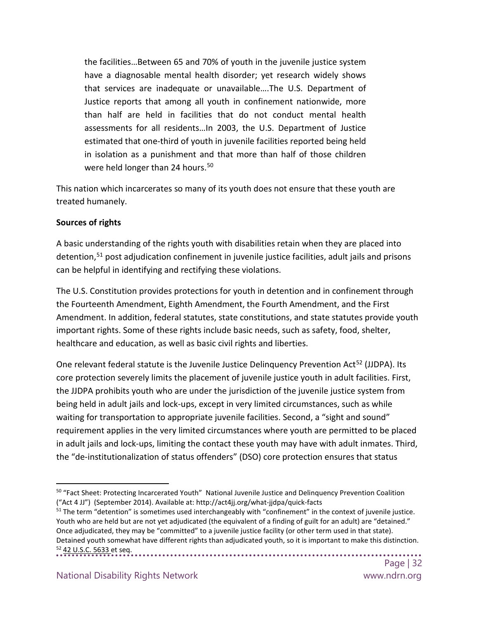the facilities…Between 65 and 70% of youth in the juvenile justice system have a diagnosable mental health disorder; yet research widely shows that services are inadequate or unavailable….The U.S. Department of Justice reports that among all youth in confinement nationwide, more than half are held in facilities that do not conduct mental health assessments for all residents…In 2003, the U.S. Department of Justice estimated that one-third of youth in juvenile facilities reported being held in isolation as a punishment and that more than half of those children were held longer than 24 hours.<sup>[50](#page-31-0)</sup>

This nation which incarcerates so many of its youth does not ensure that these youth are treated humanely.

## **Sources of rights**

A basic understanding of the rights youth with disabilities retain when they are placed into detention,<sup>51</sup> post adjudication confinement in juvenile justice facilities, adult jails and prisons can be helpful in identifying and rectifying these violations.

The U.S. Constitution provides protections for youth in detention and in confinement through the Fourteenth Amendment, Eighth Amendment, the Fourth Amendment, and the First Amendment. In addition, federal statutes, state constitutions, and state statutes provide youth important rights. Some of these rights include basic needs, such as safety, food, shelter, healthcare and education, as well as basic civil rights and liberties.

One relevant federal statute is the Juvenile Justice Delinguency Prevention Act<sup>[52](#page-31-2)</sup> (JJDPA). Its core protection severely limits the placement of juvenile justice youth in adult facilities. First, the JJDPA prohibits youth who are under the jurisdiction of the juvenile justice system from being held in adult jails and lock-ups, except in very limited circumstances, such as while waiting for transportation to appropriate juvenile facilities. Second, a "sight and sound" requirement applies in the very limited circumstances where youth are permitted to be placed in adult jails and lock-ups, limiting the contact these youth may have with adult inmates. Third, the "de-institutionalization of status offenders" (DSO) core protection ensures that status

<span id="page-31-0"></span> <sup>50</sup> "Fact Sheet: Protecting Incarcerated Youth" National Juvenile Justice and Delinquency Prevention Coalition ("Act 4 JJ") (September 2014). Available at: http://act4jj.org/what-jjdpa/quick-facts

<span id="page-31-2"></span><span id="page-31-1"></span> $51$  The term "detention" is sometimes used interchangeably with "confinement" in the context of juvenile justice. Youth who are held but are not yet adjudicated (the equivalent of a finding of guilt for an adult) are "detained." Once adjudicated, they may be "committed" to a juvenile justice facility (or other term used in that state). Detained youth somewhat have different rights than adjudicated youth, so it is important to make this distinction. <sup>52</sup> [42 U.S.C. 5633](https://a.next.westlaw.com/Link/Document/FullText?findType=L&pubNum=1000546&cite=42USCAS5633&originatingDoc=IDA3550A0A5CE11E39CF69F56F75D1F1D&refType=LQ&originationContext=document&transitionType=DocumentItem&contextData=(sc.Search)) et seq.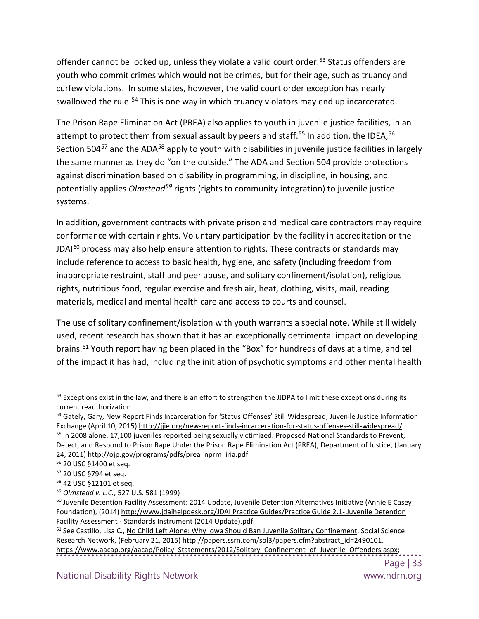offender cannot be locked up, unless they violate a valid court order.<sup>53</sup> Status offenders are youth who commit crimes which would not be crimes, but for their age, such as truancy and curfew violations. In some states, however, the valid court order exception has nearly swallowed the rule.<sup>[54](#page-32-1)</sup> This is one way in which truancy violators may end up incarcerated.

The Prison Rape Elimination Act (PREA) also applies to youth in juvenile justice facilities, in an attempt to protect them from sexual assault by peers and staff.<sup>[55](#page-32-2)</sup> In addition, the IDEA,<sup>[56](#page-32-3)</sup> Section 504<sup>[57](#page-32-4)</sup> and the ADA<sup>[58](#page-32-5)</sup> apply to youth with disabilities in juvenile justice facilities in largely the same manner as they do "on the outside." The ADA and Section 504 provide protections against discrimination based on disability in programming, in discipline, in housing, and potentially applies *Olmstead[59](#page-32-6)* rights (rights to community integration) to juvenile justice systems.

In addition, government contracts with private prison and medical care contractors may require conformance with certain rights. Voluntary participation by the facility in accreditation or the JDAI $^{60}$  $^{60}$  $^{60}$  process may also help ensure attention to rights. These contracts or standards may include reference to access to basic health, hygiene, and safety (including freedom from inappropriate restraint, staff and peer abuse, and solitary confinement/isolation), religious rights, nutritious food, regular exercise and fresh air, heat, clothing, visits, mail, reading materials, medical and mental health care and access to courts and counsel.

The use of solitary confinement/isolation with youth warrants a special note. While still widely used, recent research has shown that it has an exceptionally detrimental impact on developing brains[.61](#page-32-8) Youth report having been placed in the "Box" for hundreds of days at a time, and tell of the impact it has had, including the initiation of psychotic symptoms and other mental health

<span id="page-32-0"></span><sup>&</sup>lt;sup>53</sup> Exceptions exist in the law, and there is an effort to strengthen the JJDPA to limit these exceptions during its current reauthorization.

<span id="page-32-2"></span><span id="page-32-1"></span><sup>54</sup> Gately, Gary, New Report Finds Incarceration for 'Status Offenses' Still Widespread, Juvenile Justice Information Exchange (April 10, 2015[\) http://jjie.org/new-report-finds-incarceration-for-status-offenses-still-widespread/.](http://jjie.org/new-report-finds-incarceration-for-status-offenses-still-widespread/) <sup>55</sup> In 2008 alone, 17,100 juveniles reported being sexually victimized. Proposed National Standards to Prevent, Detect, and Respond to Prison Rape Under the Prison Rape Elimination Act (PREA), Department of Justice, (January 24, 2011[\) http://ojp.gov/programs/pdfs/prea\\_nprm\\_iria.pdf.](http://ojp.gov/programs/pdfs/prea_nprm_iria.pdf)

<span id="page-32-3"></span><sup>56</sup> 20 USC §1400 et seq.

<span id="page-32-4"></span><sup>57</sup> 20 USC §794 et seq.

<span id="page-32-5"></span><sup>58</sup> 42 USC §12101 et seq.

<span id="page-32-6"></span><sup>59</sup> *Olmstead v. L.C.*, 527 U.S. 581 (1999)

<span id="page-32-7"></span> $60$  Juvenile Detention Facility Assessment: 2014 Update, Juvenile Detention Alternatives Initiative (Annie E Casey Foundation), (2014) [http://www.jdaihelpdesk.org/JDAI Practice Guides/Practice Guide 2.1-](http://www.jdaihelpdesk.org/JDAI%20Practice%20Guides/Practice%20Guide%202.1-%20Juvenile%20Detention%20Facility%20Assessment%20-%20Standards%20Instrument%20(2014%20Update).pdf) Juvenile Detention Facility Assessment - [Standards Instrument \(2014 Update\).pdf.](http://www.jdaihelpdesk.org/JDAI%20Practice%20Guides/Practice%20Guide%202.1-%20Juvenile%20Detention%20Facility%20Assessment%20-%20Standards%20Instrument%20(2014%20Update).pdf)

<span id="page-32-8"></span><sup>&</sup>lt;sup>61</sup> See Castillo, Lisa C., No Child Left Alone: Why Iowa Should Ban Juvenile Solitary Confinement, Social Science Research Network, (February 21, 2015) http://papers.ssrn.com/sol3/papers.cfm?abstract\_id=2490101.

Page | 33 [https://www.aacap.org/aacap/Policy\\_Statements/2012/Solitary\\_Confinement\\_of\\_Juvenile\\_Offenders.aspx;](https://www.aacap.org/aacap/Policy_Statements/2012/Solitary_Confinement_of_Juvenile_Offenders.aspx)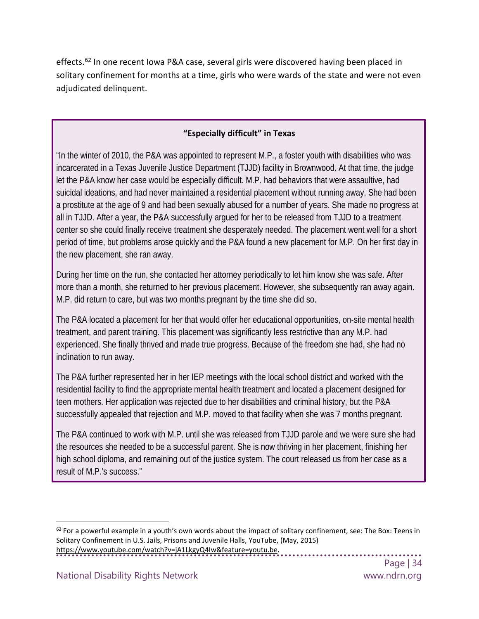effects.<sup>[62](#page-33-0)</sup> In one recent Iowa P&A case, several girls were discovered having been placed in solitary confinement for months at a time, girls who were wards of the state and were not even adjudicated delinquent.

## **"Especially difficult" in Texas**

"In the winter of 2010, the P&A was appointed to represent M.P., a foster youth with disabilities who was incarcerated in a Texas Juvenile Justice Department (TJJD) facility in Brownwood. At that time, the judge let the P&A know her case would be especially difficult. M.P. had behaviors that were assaultive, had suicidal ideations, and had never maintained a residential placement without running away. She had been a prostitute at the age of 9 and had been sexually abused for a number of years. She made no progress at all in TJJD. After a year, the P&A successfully argued for her to be released from TJJD to a treatment center so she could finally receive treatment she desperately needed. The placement went well for a short period of time, but problems arose quickly and the P&A found a new placement for M.P. On her first day in the new placement, she ran away.

During her time on the run, she contacted her attorney periodically to let him know she was safe. After more than a month, she returned to her previous placement. However, she subsequently ran away again. M.P. did return to care, but was two months pregnant by the time she did so.

The P&A located a placement for her that would offer her educational opportunities, on-site mental health treatment, and parent training. This placement was significantly less restrictive than any M.P. had experienced. She finally thrived and made true progress. Because of the freedom she had, she had no inclination to run away.

The P&A further represented her in her IEP meetings with the local school district and worked with the residential facility to find the appropriate mental health treatment and located a placement designed for teen mothers. Her application was rejected due to her disabilities and criminal history, but the P&A successfully appealed that rejection and M.P. moved to that facility when she was 7 months pregnant.

The P&A continued to work with M.P. until she was released from TJJD parole and we were sure she had the resources she needed to be a successful parent. She is now thriving in her placement, finishing her high school diploma, and remaining out of the justice system. The court released us from her case as a result of M.P.'s success."

<span id="page-33-0"></span> $62$  For a powerful example in a youth's own words about the impact of solitary confinement, see: The Box: Teens in Solitary Confinement in U.S. Jails, Prisons and Juvenile Halls, YouTube, (May, 2015) [https://www.youtube.com/watch?v=jA1LkgyQ4Iw&feature=youtu.be.](https://www.youtube.com/watch?v=jA1LkgyQ4Iw&feature=youtu.be)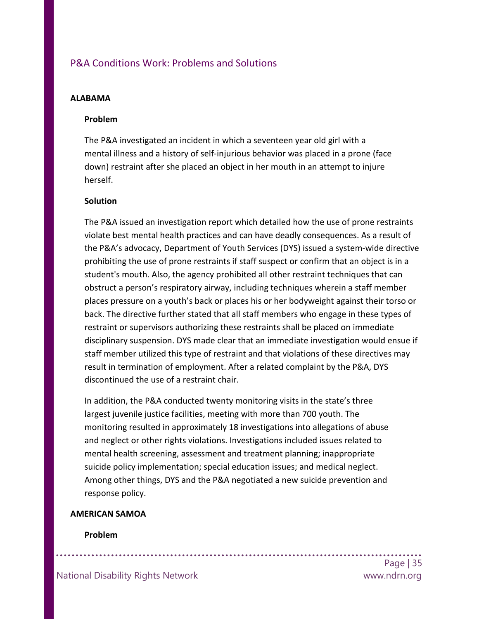## P&A Conditions Work: Problems and Solutions

#### **ALABAMA**

#### **Problem**

The P&A investigated an incident in which a seventeen year old girl with a mental illness and a history of self-injurious behavior was placed in a prone (face down) restraint after she placed an object in her mouth in an attempt to injure herself.

#### **Solution**

The P&A issued an investigation report which detailed how the use of prone restraints violate best mental health practices and can have deadly consequences. As a result of the P&A's advocacy, Department of Youth Services (DYS) issued a system-wide directive prohibiting the use of prone restraints if staff suspect or confirm that an object is in a student's mouth. Also, the agency prohibited all other restraint techniques that can obstruct a person's respiratory airway, including techniques wherein a staff member places pressure on a youth's back or places his or her bodyweight against their torso or back. The directive further stated that all staff members who engage in these types of restraint or supervisors authorizing these restraints shall be placed on immediate disciplinary suspension. DYS made clear that an immediate investigation would ensue if staff member utilized this type of restraint and that violations of these directives may result in termination of employment. After a related complaint by the P&A, DYS discontinued the use of a restraint chair.

In addition, the P&A conducted twenty monitoring visits in the state's three largest juvenile justice facilities, meeting with more than 700 youth. The monitoring resulted in approximately 18 investigations into allegations of abuse and neglect or other rights violations. Investigations included issues related to mental health screening, assessment and treatment planning; inappropriate suicide policy implementation; special education issues; and medical neglect. Among other things, DYS and the P&A negotiated a new suicide prevention and response policy.

#### **AMERICAN SAMOA**

#### **Problem**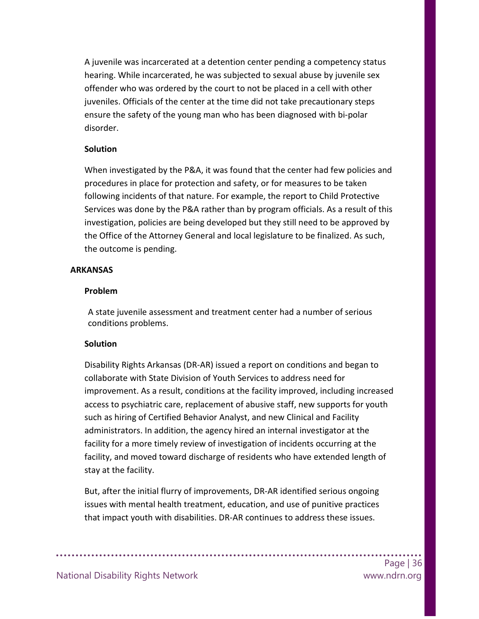A juvenile was incarcerated at a detention center pending a competency status hearing. While incarcerated, he was subjected to sexual abuse by juvenile sex offender who was ordered by the court to not be placed in a cell with other juveniles. Officials of the center at the time did not take precautionary steps ensure the safety of the young man who has been diagnosed with bi-polar disorder.

## **Solution**

When investigated by the P&A, it was found that the center had few policies and procedures in place for protection and safety, or for measures to be taken following incidents of that nature. For example, the report to Child Protective Services was done by the P&A rather than by program officials. As a result of this investigation, policies are being developed but they still need to be approved by the Office of the Attorney General and local legislature to be finalized. As such, the outcome is pending.

#### **ARKANSAS**

## **Problem**

A state juvenile assessment and treatment center had a number of serious conditions problems.

## **Solution**

Disability Rights Arkansas (DR-AR) issued a report on conditions and began to collaborate with State Division of Youth Services to address need for improvement. As a result, conditions at the facility improved, including increased access to psychiatric care, replacement of abusive staff, new supports for youth such as hiring of Certified Behavior Analyst, and new Clinical and Facility administrators. In addition, the agency hired an internal investigator at the facility for a more timely review of investigation of incidents occurring at the facility, and moved toward discharge of residents who have extended length of stay at the facility.

But, after the initial flurry of improvements, DR-AR identified serious ongoing issues with mental health treatment, education, and use of punitive practices that impact youth with disabilities. DR-AR continues to address these issues.

National Disability Rights Network www.ndrn.org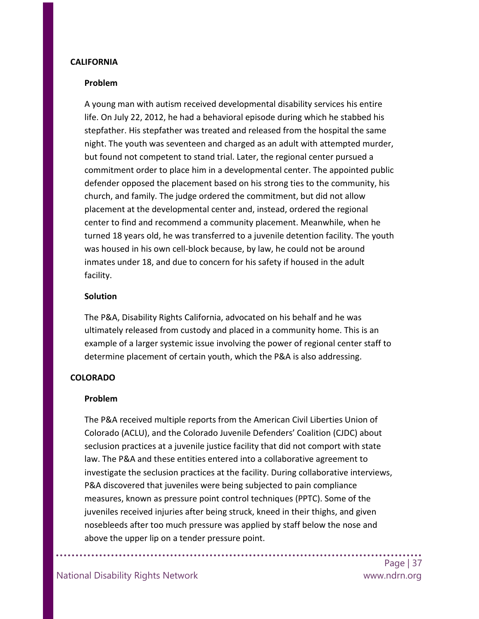#### **CALIFORNIA**

#### **Problem**

A young man with autism received developmental disability services his entire life. On July 22, 2012, he had a behavioral episode during which he stabbed his stepfather. His stepfather was treated and released from the hospital the same night. The youth was seventeen and charged as an adult with attempted murder, but found not competent to stand trial. Later, the regional center pursued a commitment order to place him in a developmental center. The appointed public defender opposed the placement based on his strong ties to the community, his church, and family. The judge ordered the commitment, but did not allow placement at the developmental center and, instead, ordered the regional center to find and recommend a community placement. Meanwhile, when he turned 18 years old, he was transferred to a juvenile detention facility. The youth was housed in his own cell-block because, by law, he could not be around inmates under 18, and due to concern for his safety if housed in the adult facility.

#### **Solution**

The P&A, Disability Rights California, advocated on his behalf and he was ultimately released from custody and placed in a community home. This is an example of a larger systemic issue involving the power of regional center staff to determine placement of certain youth, which the P&A is also addressing.

#### **COLORADO**

#### **Problem**

The P&A received multiple reports from the American Civil Liberties Union of Colorado (ACLU), and the Colorado Juvenile Defenders' Coalition (CJDC) about seclusion practices at a juvenile justice facility that did not comport with state law. The P&A and these entities entered into a collaborative agreement to investigate the seclusion practices at the facility. During collaborative interviews, P&A discovered that juveniles were being subjected to pain compliance measures, known as pressure point control techniques (PPTC). Some of the juveniles received injuries after being struck, kneed in their thighs, and given nosebleeds after too much pressure was applied by staff below the nose and above the upper lip on a tender pressure point.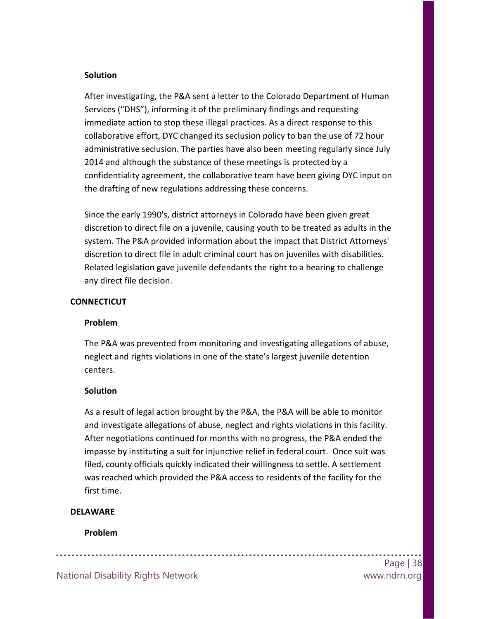#### **Solution**

After investigating, the P&A sent a letter to the Colorado Department of Human Services ("DHS"), informing it of the preliminary findings and requesting immediate action to stop these illegal practices. As a direct response to this collaborative effort, DYC changed its seclusion policy to ban the use of 72 hour administrative seclusion. The parties have also been meeting regularly since July 2014 and although the substance of these meetings is protected by a confidentiality agreement, the collaborative team have been giving DYC input on the drafting of new regulations addressing these concerns.

Since the early 1990's, district attorneys in Colorado have been given great discretion to direct file on a juvenile, causing youth to be treated as adults in the system. The P&A provided information about the impact that District Attorneys' discretion to direct file in adult criminal court has on juveniles with disabilities. Related legislation gave juvenile defendants the right to a hearing to challenge any direct file decision.

#### **CONNECTICUT**

#### **Problem**

The P&A was prevented from monitoring and investigating allegations of abuse, neglect and rights violations in one of the state's largest juvenile detention centers.

#### **Solution**

As a result of legal action brought by the P&A, the P&A will be able to monitor and investigate allegations of abuse, neglect and rights violations in this facility. After negotiations continued for months with no progress, the P&A ended the impasse by instituting a suit for injunctive relief in federal court. Once suit was filed, county officials quickly indicated their willingness to settle. A settlement was reached which provided the P&A access to residents of the facility for the first time.

#### **DELAWARE**

#### **Problem**

National Disability Rights Network www.ndrn.org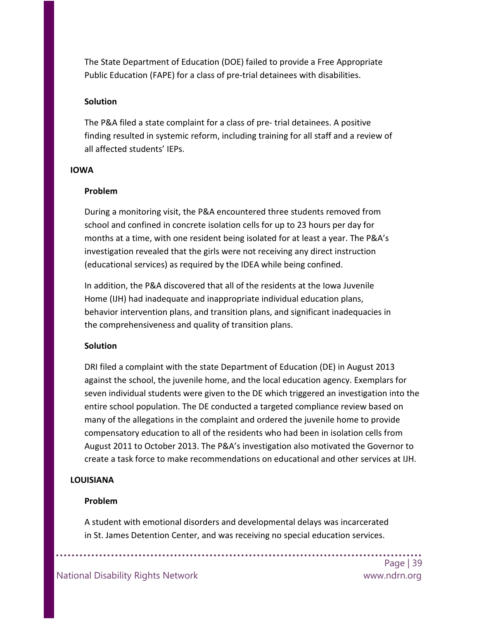The State Department of Education (DOE) failed to provide a Free Appropriate Public Education (FAPE) for a class of pre-trial detainees with disabilities.

#### **Solution**

The P&A filed a state complaint for a class of pre- trial detainees. A positive finding resulted in systemic reform, including training for all staff and a review of all affected students' IEPs.

#### **IOWA**

#### **Problem**

During a monitoring visit, the P&A encountered three students removed from school and confined in concrete isolation cells for up to 23 hours per day for months at a time, with one resident being isolated for at least a year. The P&A's investigation revealed that the girls were not receiving any direct instruction (educational services) as required by the IDEA while being confined.

In addition, the P&A discovered that all of the residents at the Iowa Juvenile Home (IJH) had inadequate and inappropriate individual education plans, behavior intervention plans, and transition plans, and significant inadequacies in the comprehensiveness and quality of transition plans.

#### **Solution**

DRI filed a complaint with the state Department of Education (DE) in August 2013 against the school, the juvenile home, and the local education agency. Exemplars for seven individual students were given to the DE which triggered an investigation into the entire school population. The DE conducted a targeted compliance review based on many of the allegations in the complaint and ordered the juvenile home to provide compensatory education to all of the residents who had been in isolation cells from August 2011 to October 2013. The P&A's investigation also motivated the Governor to create a task force to make recommendations on educational and other services at IJH.

#### **LOUISIANA**

#### **Problem**

A student with emotional disorders and developmental delays was incarcerated in St. James Detention Center, and was receiving no special education services.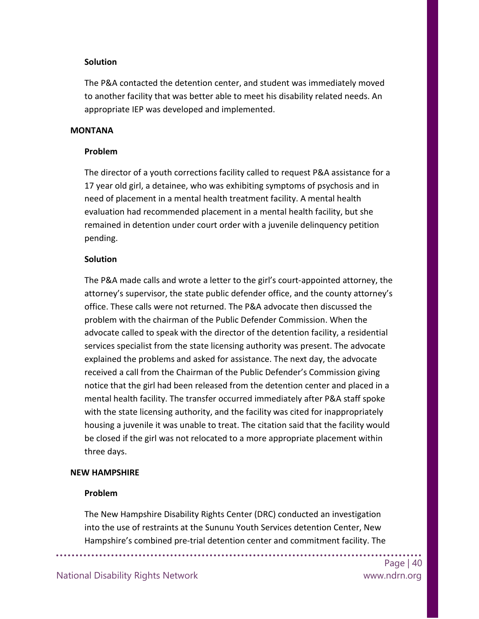#### **Solution**

The P&A contacted the detention center, and student was immediately moved to another facility that was better able to meet his disability related needs. An appropriate IEP was developed and implemented.

#### **MONTANA**

#### **Problem**

The director of a youth corrections facility called to request P&A assistance for a 17 year old girl, a detainee, who was exhibiting symptoms of psychosis and in need of placement in a mental health treatment facility. A mental health evaluation had recommended placement in a mental health facility, but she remained in detention under court order with a juvenile delinquency petition pending.

#### **Solution**

The P&A made calls and wrote a letter to the girl's court-appointed attorney, the attorney's supervisor, the state public defender office, and the county attorney's office. These calls were not returned. The P&A advocate then discussed the problem with the chairman of the Public Defender Commission. When the advocate called to speak with the director of the detention facility, a residential services specialist from the state licensing authority was present. The advocate explained the problems and asked for assistance. The next day, the advocate received a call from the Chairman of the Public Defender's Commission giving notice that the girl had been released from the detention center and placed in a mental health facility. The transfer occurred immediately after P&A staff spoke with the state licensing authority, and the facility was cited for inappropriately housing a juvenile it was unable to treat. The citation said that the facility would be closed if the girl was not relocated to a more appropriate placement within three days.

#### **NEW HAMPSHIRE**

#### **Problem**

The New Hampshire Disability Rights Center (DRC) conducted an investigation into the use of restraints at the Sununu Youth Services detention Center, New Hampshire's combined pre-trial detention center and commitment facility. The

Page | 40

National Disability Rights Network www.ndrn.org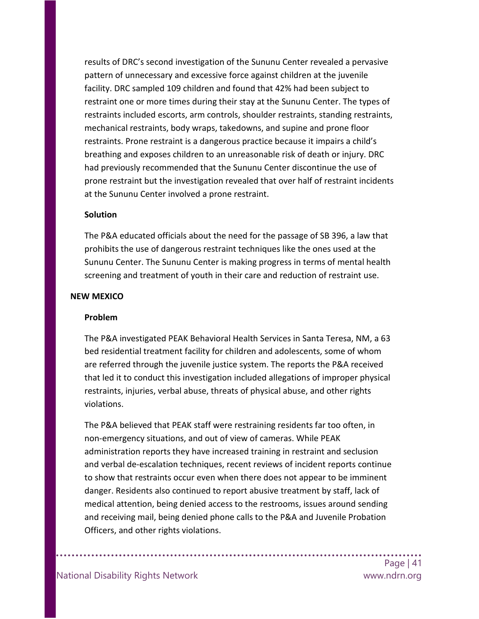results of DRC's second investigation of the Sununu Center revealed a pervasive pattern of unnecessary and excessive force against children at the juvenile facility. DRC sampled 109 children and found that 42% had been subject to restraint one or more times during their stay at the Sununu Center. The types of restraints included escorts, arm controls, shoulder restraints, standing restraints, mechanical restraints, body wraps, takedowns, and supine and prone floor restraints. Prone restraint is a dangerous practice because it impairs a child's breathing and exposes children to an unreasonable risk of death or injury. DRC had previously recommended that the Sununu Center discontinue the use of prone restraint but the investigation revealed that over half of restraint incidents at the Sununu Center involved a prone restraint.

#### **Solution**

The P&A educated officials about the need for the passage of SB 396, a law that prohibits the use of dangerous restraint techniques like the ones used at the Sununu Center. The Sununu Center is making progress in terms of mental health screening and treatment of youth in their care and reduction of restraint use.

#### **NEW MEXICO**

#### **Problem**

The P&A investigated PEAK Behavioral Health Services in Santa Teresa, NM, a 63 bed residential treatment facility for children and adolescents, some of whom are referred through the juvenile justice system. The reports the P&A received that led it to conduct this investigation included allegations of improper physical restraints, injuries, verbal abuse, threats of physical abuse, and other rights violations.

The P&A believed that PEAK staff were restraining residents far too often, in non-emergency situations, and out of view of cameras. While PEAK administration reports they have increased training in restraint and seclusion and verbal de-escalation techniques, recent reviews of incident reports continue to show that restraints occur even when there does not appear to be imminent danger. Residents also continued to report abusive treatment by staff, lack of medical attention, being denied access to the restrooms, issues around sending and receiving mail, being denied phone calls to the P&A and Juvenile Probation Officers, and other rights violations.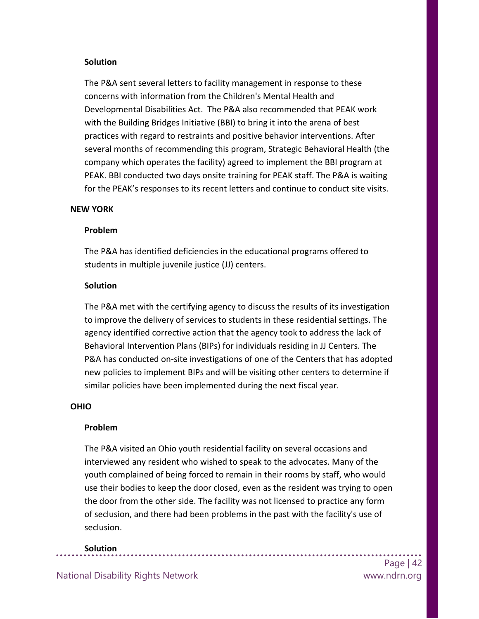#### **Solution**

The P&A sent several letters to facility management in response to these concerns with information from the Children's Mental Health and Developmental Disabilities Act. The P&A also recommended that PEAK work with the Building Bridges Initiative (BBI) to bring it into the arena of best practices with regard to restraints and positive behavior interventions. After several months of recommending this program, Strategic Behavioral Health (the company which operates the facility) agreed to implement the BBI program at PEAK. BBI conducted two days onsite training for PEAK staff. The P&A is waiting for the PEAK's responses to its recent letters and continue to conduct site visits.

#### **NEW YORK**

#### **Problem**

The P&A has identified deficiencies in the educational programs offered to students in multiple juvenile justice (JJ) centers.

#### **Solution**

The P&A met with the certifying agency to discuss the results of its investigation to improve the delivery of services to students in these residential settings. The agency identified corrective action that the agency took to address the lack of Behavioral Intervention Plans (BIPs) for individuals residing in JJ Centers. The P&A has conducted on-site investigations of one of the Centers that has adopted new policies to implement BIPs and will be visiting other centers to determine if similar policies have been implemented during the next fiscal year.

#### **OHIO**

#### **Problem**

The P&A visited an Ohio youth residential facility on several occasions and interviewed any resident who wished to speak to the advocates. Many of the youth complained of being forced to remain in their rooms by staff, who would use their bodies to keep the door closed, even as the resident was trying to open the door from the other side. The facility was not licensed to practice any form of seclusion, and there had been problems in the past with the facility's use of seclusion.

**Solution**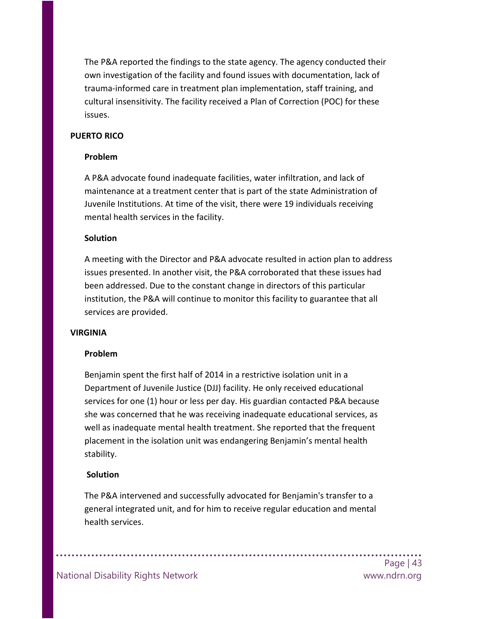The P&A reported the findings to the state agency. The agency conducted their own investigation of the facility and found issues with documentation, lack of trauma-informed care in treatment plan implementation, staff training, and cultural insensitivity. The facility received a Plan of Correction (POC) for these issues.

## **PUERTO RICO**

#### **Problem**

A P&A advocate found inadequate facilities, water infiltration, and lack of maintenance at a treatment center that is part of the state Administration of Juvenile Institutions. At time of the visit, there were 19 individuals receiving mental health services in the facility.

#### **Solution**

A meeting with the Director and P&A advocate resulted in action plan to address issues presented. In another visit, the P&A corroborated that these issues had been addressed. Due to the constant change in directors of this particular institution, the P&A will continue to monitor this facility to guarantee that all services are provided.

#### **VIRGINIA**

#### **Problem**

Benjamin spent the first half of 2014 in a restrictive isolation unit in a Department of Juvenile Justice (DJJ) facility. He only received educational services for one (1) hour or less per day. His guardian contacted P&A because she was concerned that he was receiving inadequate educational services, as well as inadequate mental health treatment. She reported that the frequent placement in the isolation unit was endangering Benjamin's mental health stability.

#### **Solution**

The P&A intervened and successfully advocated for Benjamin's transfer to a general integrated unit, and for him to receive regular education and mental health services.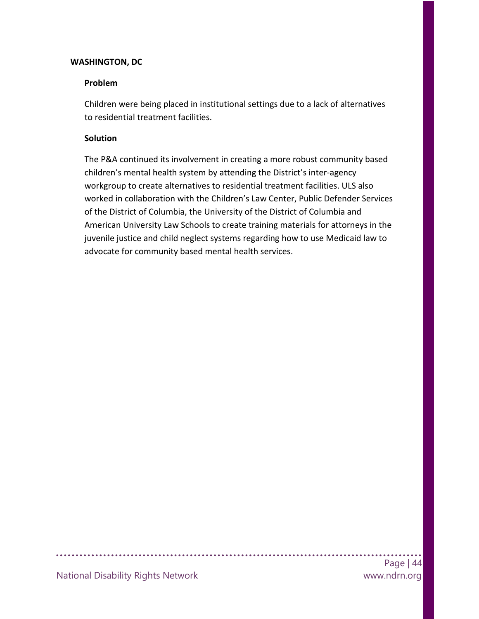#### **WASHINGTON, DC**

#### **Problem**

Children were being placed in institutional settings due to a lack of alternatives to residential treatment facilities.

#### **Solution**

The P&A continued its involvement in creating a more robust community based children's mental health system by attending the District's inter-agency workgroup to create alternatives to residential treatment facilities. ULS also worked in collaboration with the Children's Law Center, Public Defender Services of the District of Columbia, the University of the District of Columbia and American University Law Schools to create training materials for attorneys in the juvenile justice and child neglect systems regarding how to use Medicaid law to advocate for community based mental health services.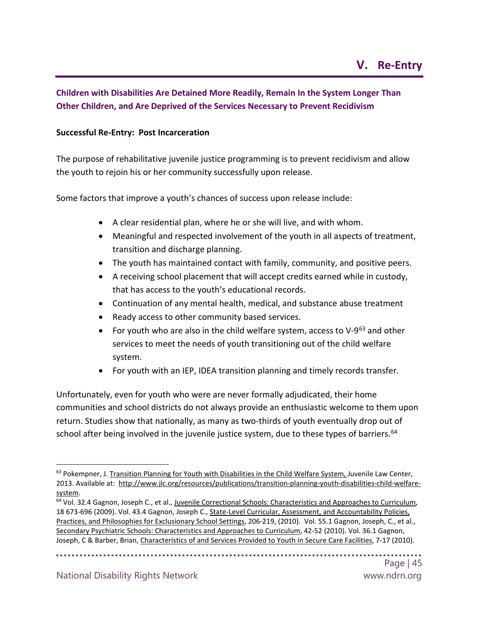**Children with Disabilities Are Detained More Readily, Remain In the System Longer Than Other Children, and Are Deprived of the Services Necessary to Prevent Recidivism**

## **Successful Re-Entry: Post Incarceration**

The purpose of rehabilitative juvenile justice programming is to prevent recidivism and allow the youth to rejoin his or her community successfully upon release.

Some factors that improve a youth's chances of success upon release include:

- A clear residential plan, where he or she will live, and with whom.
- Meaningful and respected involvement of the youth in all aspects of treatment, transition and discharge planning.
- The youth has maintained contact with family, community, and positive peers.
- A receiving school placement that will accept credits earned while in custody, that has access to the youth's educational records.
- Continuation of any mental health, medical, and substance abuse treatment
- Ready access to other community based services.
- For youth who are also in the child welfare system, access to V-9 $^{63}$  $^{63}$  $^{63}$  and other services to meet the needs of youth transitioning out of the child welfare system.
- For youth with an IEP, IDEA transition planning and timely records transfer.

Unfortunately, even for youth who were are never formally adjudicated, their home communities and school districts do not always provide an enthusiastic welcome to them upon return. Studies show that nationally, as many as two-thirds of youth eventually drop out of school after being involved in the juvenile justice system, due to these types of barriers.<sup>[64](#page-44-1)</sup>

<span id="page-44-0"></span><sup>&</sup>lt;sup>63</sup> Pokempner, J. Transition Planning for Youth with Disabilities in the Child Welfare System, Juvenile Law Center, 2013. Available at: [http://www.jlc.org/resources/publications/transition-planning-youth-disabilities-child-welfare](http://www.jlc.org/resources/publications/transition-planning-youth-disabilities-child-welfare-system)[system.](http://www.jlc.org/resources/publications/transition-planning-youth-disabilities-child-welfare-system)

<span id="page-44-1"></span><sup>&</sup>lt;sup>64</sup> Vol. 32.4 Gagnon, Joseph C., et al., Juvenile Correctional Schools: Characteristics and Approaches to Curriculum, 18 673-696 (2009). Vol. 43.4 Gagnon, Joseph C., State-Level Curricular, Assessment, and Accountability Policies, Practices, and Philosophies for Exclusionary School Settings, 206-219, (2010). Vol. 55.1 Gagnon, Joseph, C., et al., Secondary Psychiatric Schools: Characteristics and Approaches to Curriculum, 42-52 (2010). Vol. 36.1 Gagnon, Joseph, C & Barber, Brian, Characteristics of and Services Provided to Youth in Secure Care Facilities, 7-17 (2010).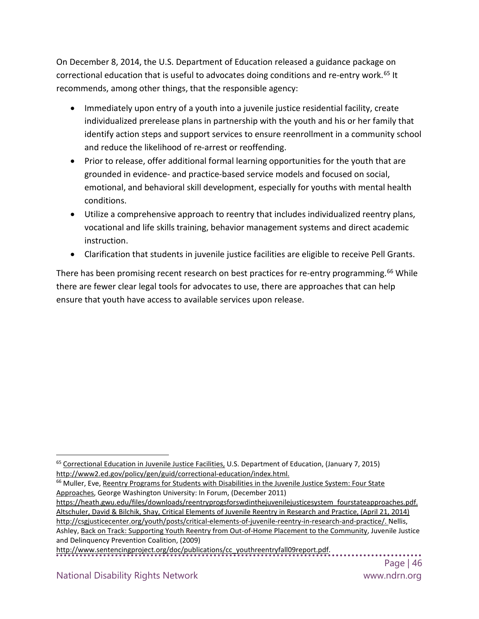On December 8, 2014, the U.S. Department of Education released a guidance package on correctional education that is useful to advocates doing conditions and re-entry work.<sup>[65](#page-45-0)</sup> It recommends, among other things, that the responsible agency:

- Immediately upon entry of a youth into a juvenile justice residential facility, create individualized prerelease plans in partnership with the youth and his or her family that identify action steps and support services to ensure reenrollment in a community school and reduce the likelihood of re-arrest or reoffending.
- Prior to release, offer additional formal learning opportunities for the youth that are grounded in evidence- and practice-based service models and focused on social, emotional, and behavioral skill development, especially for youths with mental health conditions.
- Utilize a comprehensive approach to reentry that includes individualized reentry plans, vocational and life skills training, behavior management systems and direct academic instruction.
- Clarification that students in juvenile justice facilities are eligible to receive Pell Grants.

There has been promising recent research on best practices for re-entry programming.<sup>[66](#page-45-1)</sup> While there are fewer clear legal tools for advocates to use, there are approaches that can help ensure that youth have access to available services upon release.

[http://www.sentencingproject.org/doc/publications/cc\\_youthreentryfall09report.pdf.](http://www.sentencingproject.org/doc/publications/cc_youthreentryfall09report.pdf)

<span id="page-45-0"></span><sup>&</sup>lt;sup>65</sup> Correctional Education in Juvenile Justice Facilities, U.S. Department of Education, (January 7, 2015) [http://www2.ed.gov/policy/gen/guid/correctional-education/index.html.](http://www2.ed.gov/policy/gen/guid/correctional-education/index.html)

<span id="page-45-1"></span><sup>&</sup>lt;sup>66</sup> Muller, Eve, Reentry Programs for Students with Disabilities in the Juvenile Justice System: Four State Approaches, George Washington University: In Forum, (December 2011)

[https://heath.gwu.edu/files/downloads/reentryprogsforswdinthejuvenilejusticesystem\\_fourstateapproaches.pdf.](https://heath.gwu.edu/files/downloads/reentryprogsforswdinthejuvenilejusticesystem_fourstateapproaches.pdf) Altschuler, David & Bilchik, Shay, Critical Elements of Juvenile Reentry in Research and Practice, (April 21, 2014) [http://csgjusticecenter.org/youth/posts/critical-elements-of-juvenile-reentry-in-research-and-practice/.](http://csgjusticecenter.org/youth/posts/critical-elements-of-juvenile-reentry-in-research-and-practice/) Nellis, Ashley, Back on Track: Supporting Youth Reentry from Out-of-Home Placement to the Community, Juvenile Justice and Delinquency Prevention Coalition, (2009)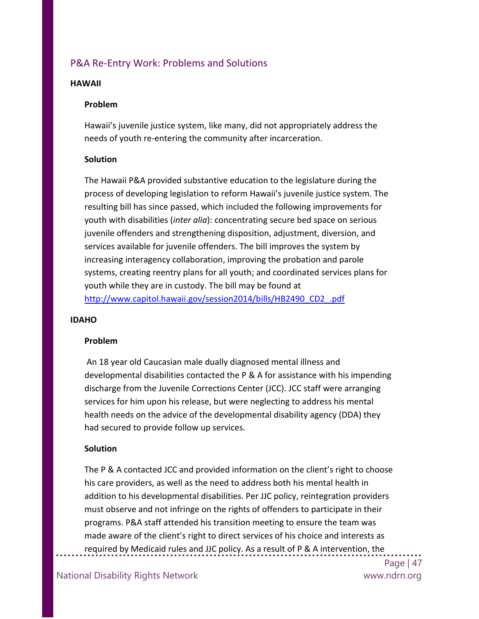## P&A Re-Entry Work: Problems and Solutions

#### **HAWAII**

#### **Problem**

Hawaii's juvenile justice system, like many, did not appropriately address the needs of youth re-entering the community after incarceration.

#### **Solution**

The Hawaii P&A provided substantive education to the legislature during the process of developing legislation to reform Hawaii's juvenile justice system. The resulting bill has since passed, which included the following improvements for youth with disabilities (*inter alia*): concentrating secure bed space on serious juvenile offenders and strengthening disposition, adjustment, diversion, and services available for juvenile offenders. The bill improves the system by increasing interagency collaboration, improving the probation and parole systems, creating reentry plans for all youth; and coordinated services plans for youth while they are in custody. The bill may be found at [http://www.capitol.hawaii.gov/session2014/bills/HB2490\\_CD2\\_.pdf](http://www.capitol.hawaii.gov/session2014/bills/HB2490_CD2_.pdf)

#### **IDAHO**

#### **Problem**

An 18 year old Caucasian male dually diagnosed mental illness and developmental disabilities contacted the P & A for assistance with his impending discharge from the Juvenile Corrections Center (JCC). JCC staff were arranging services for him upon his release, but were neglecting to address his mental health needs on the advice of the developmental disability agency (DDA) they had secured to provide follow up services.

#### **Solution**

The P & A contacted JCC and provided information on the client's right to choose his care providers, as well as the need to address both his mental health in addition to his developmental disabilities. Per JJC policy, reintegration providers must observe and not infringe on the rights of offenders to participate in their programs. P&A staff attended his transition meeting to ensure the team was made aware of the client's right to direct services of his choice and interests as required by Medicaid rules and JJC policy. As a result of P & A intervention, the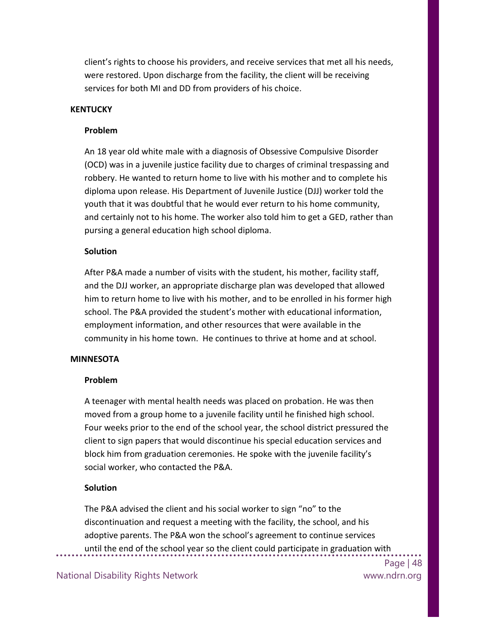client's rights to choose his providers, and receive services that met all his needs, were restored. Upon discharge from the facility, the client will be receiving services for both MI and DD from providers of his choice.

## **KENTUCKY**

#### **Problem**

An 18 year old white male with a diagnosis of Obsessive Compulsive Disorder (OCD) was in a juvenile justice facility due to charges of criminal trespassing and robbery. He wanted to return home to live with his mother and to complete his diploma upon release. His Department of Juvenile Justice (DJJ) worker told the youth that it was doubtful that he would ever return to his home community, and certainly not to his home. The worker also told him to get a GED, rather than pursing a general education high school diploma.

## **Solution**

After P&A made a number of visits with the student, his mother, facility staff, and the DJJ worker, an appropriate discharge plan was developed that allowed him to return home to live with his mother, and to be enrolled in his former high school. The P&A provided the student's mother with educational information, employment information, and other resources that were available in the community in his home town. He continues to thrive at home and at school.

#### **MINNESOTA**

#### **Problem**

A teenager with mental health needs was placed on probation. He was then moved from a group home to a juvenile facility until he finished high school. Four weeks prior to the end of the school year, the school district pressured the client to sign papers that would discontinue his special education services and block him from graduation ceremonies. He spoke with the juvenile facility's social worker, who contacted the P&A.

## **Solution**

The P&A advised the client and his social worker to sign "no" to the discontinuation and request a meeting with the facility, the school, and his adoptive parents. The P&A won the school's agreement to continue services until the end of the school year so the client could participate in graduation with

Page | 48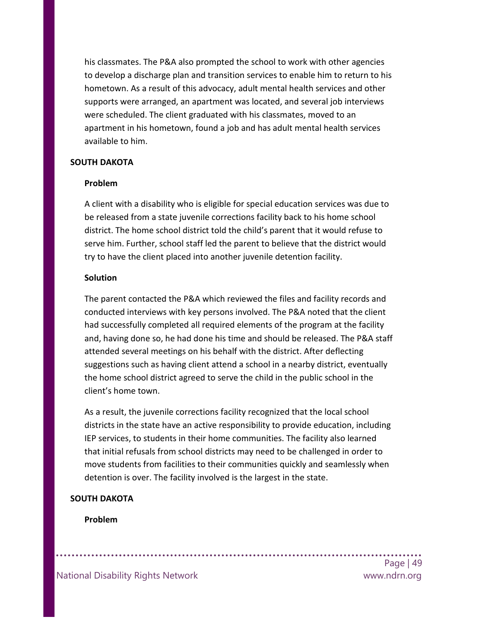his classmates. The P&A also prompted the school to work with other agencies to develop a discharge plan and transition services to enable him to return to his hometown. As a result of this advocacy, adult mental health services and other supports were arranged, an apartment was located, and several job interviews were scheduled. The client graduated with his classmates, moved to an apartment in his hometown, found a job and has adult mental health services available to him.

#### **SOUTH DAKOTA**

#### **Problem**

A client with a disability who is eligible for special education services was due to be released from a state juvenile corrections facility back to his home school district. The home school district told the child's parent that it would refuse to serve him. Further, school staff led the parent to believe that the district would try to have the client placed into another juvenile detention facility.

#### **Solution**

The parent contacted the P&A which reviewed the files and facility records and conducted interviews with key persons involved. The P&A noted that the client had successfully completed all required elements of the program at the facility and, having done so, he had done his time and should be released. The P&A staff attended several meetings on his behalf with the district. After deflecting suggestions such as having client attend a school in a nearby district, eventually the home school district agreed to serve the child in the public school in the client's home town.

As a result, the juvenile corrections facility recognized that the local school districts in the state have an active responsibility to provide education, including IEP services, to students in their home communities. The facility also learned that initial refusals from school districts may need to be challenged in order to move students from facilities to their communities quickly and seamlessly when detention is over. The facility involved is the largest in the state.

## **SOUTH DAKOTA**

#### **Problem**

National Disability Rights Network www.ndrn.org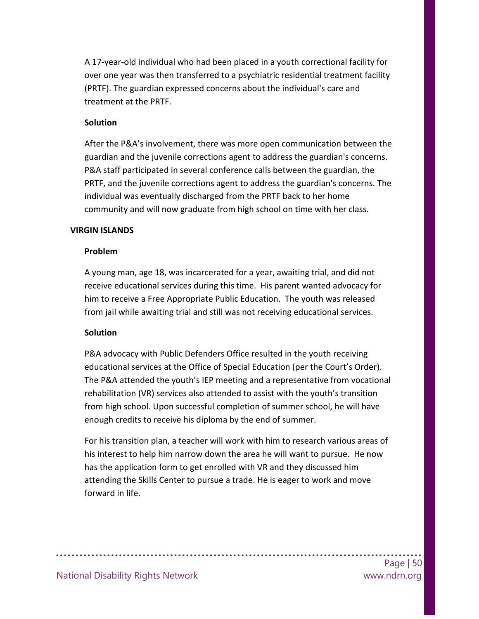A 17-year-old individual who had been placed in a youth correctional facility for over one year was then transferred to a psychiatric residential treatment facility (PRTF). The guardian expressed concerns about the individual's care and treatment at the PRTF.

## **Solution**

After the P&A's involvement, there was more open communication between the guardian and the juvenile corrections agent to address the guardian's concerns. P&A staff participated in several conference calls between the guardian, the PRTF, and the juvenile corrections agent to address the guardian's concerns. The individual was eventually discharged from the PRTF back to her home community and will now graduate from high school on time with her class.

## **VIRGIN ISLANDS**

## **Problem**

A young man, age 18, was incarcerated for a year, awaiting trial, and did not receive educational services during this time. His parent wanted advocacy for him to receive a Free Appropriate Public Education. The youth was released from jail while awaiting trial and still was not receiving educational services.

## **Solution**

P&A advocacy with Public Defenders Office resulted in the youth receiving educational services at the Office of Special Education (per the Court's Order). The P&A attended the youth's IEP meeting and a representative from vocational rehabilitation (VR) services also attended to assist with the youth's transition from high school. Upon successful completion of summer school, he will have enough credits to receive his diploma by the end of summer.

For his transition plan, a teacher will work with him to research various areas of his interest to help him narrow down the area he will want to pursue. He now has the application form to get enrolled with VR and they discussed him attending the Skills Center to pursue a trade. He is eager to work and move forward in life.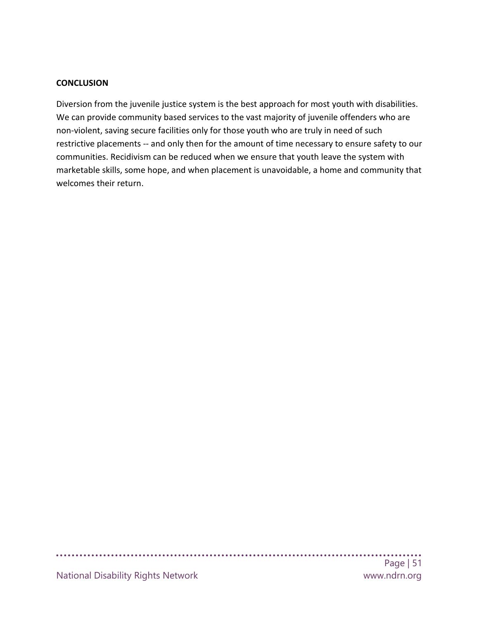#### **CONCLUSION**

Diversion from the juvenile justice system is the best approach for most youth with disabilities. We can provide community based services to the vast majority of juvenile offenders who are non-violent, saving secure facilities only for those youth who are truly in need of such restrictive placements -- and only then for the amount of time necessary to ensure safety to our communities. Recidivism can be reduced when we ensure that youth leave the system with marketable skills, some hope, and when placement is unavoidable, a home and community that welcomes their return.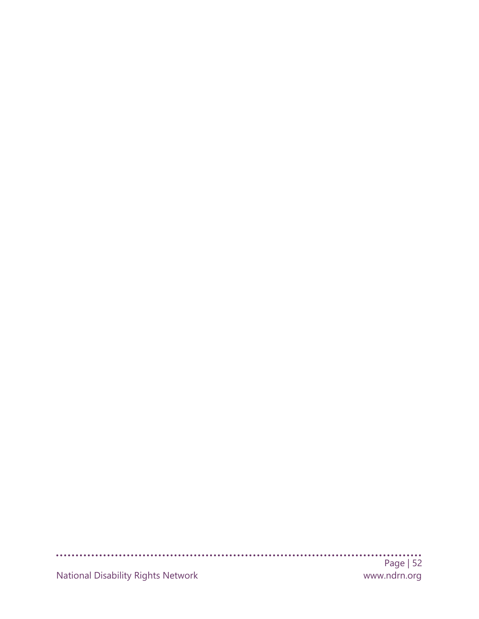Page | 52<br>Www.ndrn.org National Disability Rights Network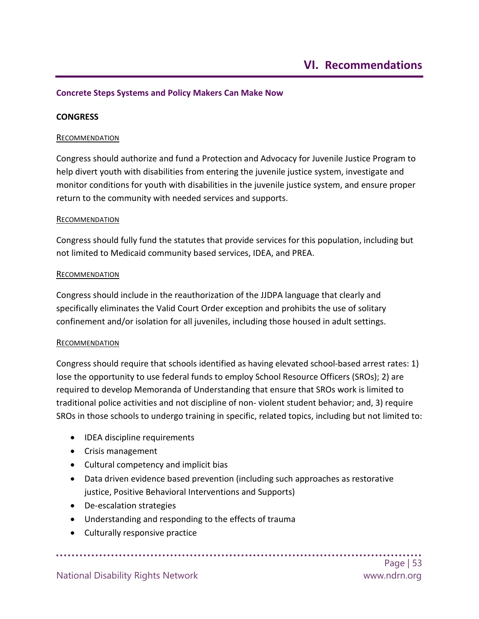#### **Concrete Steps Systems and Policy Makers Can Make Now**

#### **CONGRESS**

#### **RECOMMENDATION**

Congress should authorize and fund a Protection and Advocacy for Juvenile Justice Program to help divert youth with disabilities from entering the juvenile justice system, investigate and monitor conditions for youth with disabilities in the juvenile justice system, and ensure proper return to the community with needed services and supports.

#### **RECOMMENDATION**

Congress should fully fund the statutes that provide services for this population, including but not limited to Medicaid community based services, IDEA, and PREA.

#### RECOMMENDATION

Congress should include in the reauthorization of the JJDPA language that clearly and specifically eliminates the Valid Court Order exception and prohibits the use of solitary confinement and/or isolation for all juveniles, including those housed in adult settings.

#### RECOMMENDATION

Congress should require that schools identified as having elevated school-based arrest rates: 1) lose the opportunity to use federal funds to employ School Resource Officers (SROs); 2) are required to develop Memoranda of Understanding that ensure that SROs work is limited to traditional police activities and not discipline of non- violent student behavior; and, 3) require SROs in those schools to undergo training in specific, related topics, including but not limited to:

- IDEA discipline requirements
- Crisis management
- Cultural competency and implicit bias
- Data driven evidence based prevention (including such approaches as restorative justice, Positive Behavioral Interventions and Supports)
- De-escalation strategies
- Understanding and responding to the effects of trauma
- Culturally responsive practice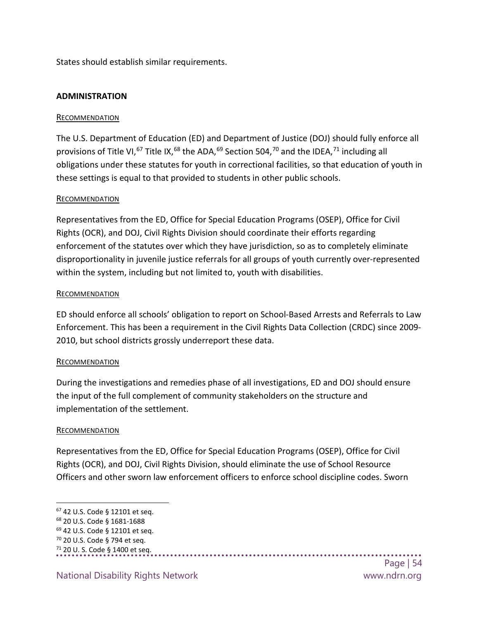States should establish similar requirements.

#### **ADMINISTRATION**

#### RECOMMENDATION

The U.S. Department of Education (ED) and Department of Justice (DOJ) should fully enforce all provisions of Title VI,<sup>[67](#page-53-0)</sup> Title IX,<sup>[68](#page-53-1)</sup> the ADA,<sup>[69](#page-53-2)</sup> Section 504,<sup>[70](#page-53-3)</sup> and the IDEA,<sup>[71](#page-53-4)</sup> including all obligations under these statutes for youth in correctional facilities, so that education of youth in these settings is equal to that provided to students in other public schools.

#### RECOMMENDATION

Representatives from the ED, Office for Special Education Programs (OSEP), Office for Civil Rights (OCR), and DOJ, Civil Rights Division should coordinate their efforts regarding enforcement of the statutes over which they have jurisdiction, so as to completely eliminate disproportionality in juvenile justice referrals for all groups of youth currently over-represented within the system, including but not limited to, youth with disabilities.

## RECOMMENDATION

ED should enforce all schools' obligation to report on School-Based Arrests and Referrals to Law Enforcement. This has been a requirement in the Civil Rights Data Collection (CRDC) since 2009- 2010, but school districts grossly underreport these data.

#### RECOMMENDATION

During the investigations and remedies phase of all investigations, ED and DOJ should ensure the input of the full complement of community stakeholders on the structure and implementation of the settlement.

#### RECOMMENDATION

Representatives from the ED, Office for Special Education Programs (OSEP), Office for Civil Rights (OCR), and DOJ, Civil Rights Division, should eliminate the use of School Resource Officers and other sworn law enforcement officers to enforce school discipline codes. Sworn

<span id="page-53-0"></span> <sup>67</sup> 42 U.S. Code § 12101 et seq.

<span id="page-53-1"></span><sup>68</sup> 20 U.S. Code § 1681-1688

<span id="page-53-2"></span><sup>69</sup> 42 U.S. Code § 12101 et seq.

<span id="page-53-3"></span><sup>70</sup> 20 U.S. Code § 794 et seq.

<span id="page-53-4"></span><sup>71</sup> 20 U. S. Code § 1400 et seq.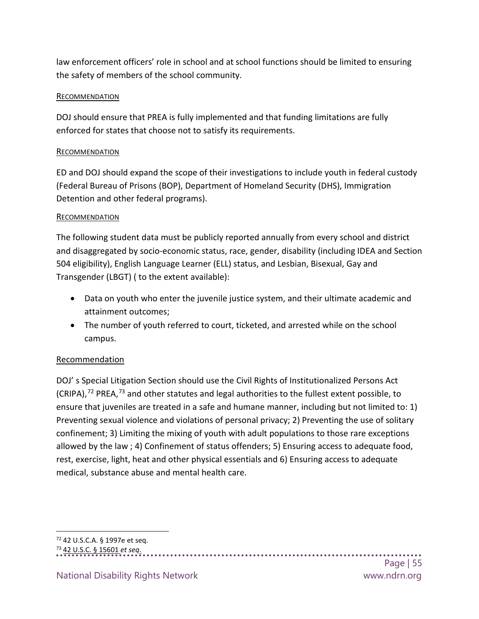law enforcement officers' role in school and at school functions should be limited to ensuring the safety of members of the school community.

## RECOMMENDATION

DOJ should ensure that PREA is fully implemented and that funding limitations are fully enforced for states that choose not to satisfy its requirements.

## RECOMMENDATION

ED and DOJ should expand the scope of their investigations to include youth in federal custody (Federal Bureau of Prisons (BOP), Department of Homeland Security (DHS), Immigration Detention and other federal programs).

## RECOMMENDATION

The following student data must be publicly reported annually from every school and district and disaggregated by socio-economic status, race, gender, disability (including IDEA and Section 504 eligibility), English Language Learner (ELL) status, and Lesbian, Bisexual, Gay and Transgender (LBGT) ( to the extent available):

- Data on youth who enter the juvenile justice system, and their ultimate academic and attainment outcomes;
- The number of youth referred to court, ticketed, and arrested while on the school campus.

## Recommendation

DOJ' s Special Litigation Section should use the Civil Rights of Institutionalized Persons Act (CRIPA),<sup>[72](#page-54-0)</sup> PREA,<sup>[73](#page-54-1)</sup> and other statutes and legal authorities to the fullest extent possible, to ensure that juveniles are treated in a safe and humane manner, including but not limited to: 1) Preventing sexual violence and violations of personal privacy; 2) Preventing the use of solitary confinement; 3) Limiting the mixing of youth with adult populations to those rare exceptions allowed by the law ; 4) Confinement of status offenders; 5) Ensuring access to adequate food, rest, exercise, light, heat and other physical essentials and 6) Ensuring access to adequate medical, substance abuse and mental health care.

<span id="page-54-0"></span> <sup>72</sup> 42 U.S.C.A. § 1997e et seq.

<span id="page-54-1"></span><sup>73</sup> [42 U.S.C. § 15601](https://a.next.westlaw.com/Link/Document/FullText?findType=L&pubNum=1000546&cite=42USCAS15601&originatingDoc=Icfadb5b201e811dba2529ff4f933adbe&refType=LQ&originationContext=document&transitionType=DocumentItem&contextData=(sc.Search)) *et seq*.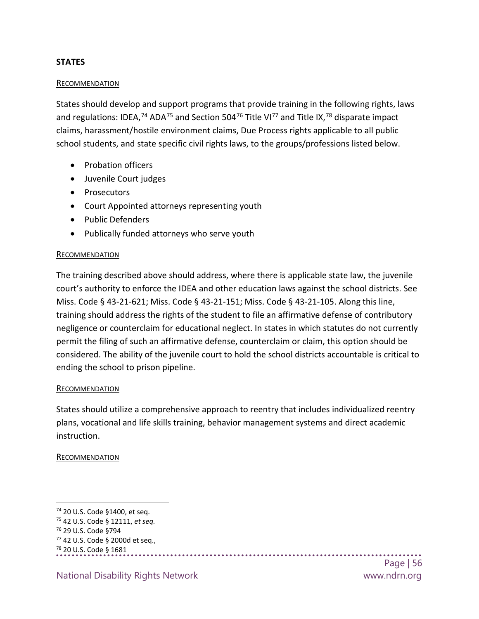#### **STATES**

#### RECOMMENDATION

States should develop and support programs that provide training in the following rights, laws and regulations: IDEA,<sup>[74](#page-55-0)</sup> ADA<sup>[75](#page-55-1)</sup> and Section 504<sup>[76](#page-55-2)</sup> Title VI<sup>[77](#page-55-3)</sup> and Title IX,<sup>[78](#page-55-4)</sup> disparate impact claims, harassment/hostile environment claims, Due Process rights applicable to all public school students, and state specific civil rights laws, to the groups/professions listed below.

- Probation officers
- Juvenile Court judges
- Prosecutors
- Court Appointed attorneys representing youth
- Public Defenders
- Publically funded attorneys who serve youth

#### RECOMMENDATION

The training described above should address, where there is applicable state law, the juvenile court's authority to enforce the IDEA and other education laws against the school districts. See Miss. Code § 43-21-621; Miss. Code § 43-21-151; Miss. Code § 43-21-105. Along this line, training should address the rights of the student to file an affirmative defense of contributory negligence or counterclaim for educational neglect. In states in which statutes do not currently permit the filing of such an affirmative defense, counterclaim or claim, this option should be considered. The ability of the juvenile court to hold the school districts accountable is critical to ending the school to prison pipeline.

#### RECOMMENDATION

States should utilize a comprehensive approach to reentry that includes individualized reentry plans, vocational and life skills training, behavior management systems and direct academic instruction.

#### RECOMMENDATION

<span id="page-55-0"></span> <sup>74</sup> 20 U.S. Code §1400, et seq.

<span id="page-55-1"></span><sup>75</sup> 42 U.S. Code § 12111, *et seq.*

<span id="page-55-2"></span><sup>76</sup> 29 U.S. Code §794

<span id="page-55-3"></span><sup>77</sup> 42 U.S. Code § 2000d et seq.,

<span id="page-55-4"></span><sup>78</sup> 20 U.S. Code § 1681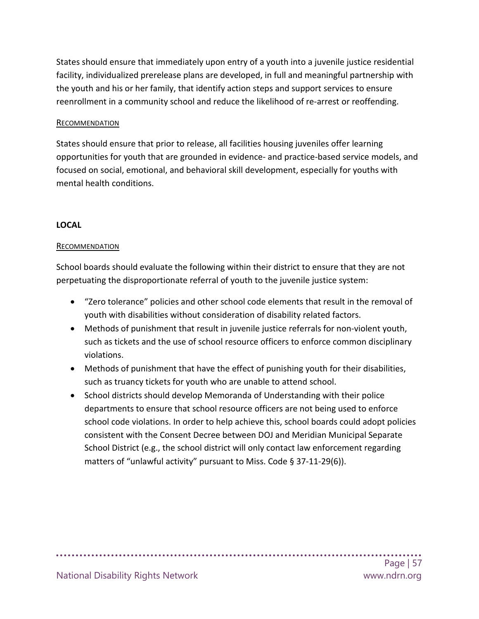States should ensure that immediately upon entry of a youth into a juvenile justice residential facility, individualized prerelease plans are developed, in full and meaningful partnership with the youth and his or her family, that identify action steps and support services to ensure reenrollment in a community school and reduce the likelihood of re-arrest or reoffending.

## RECOMMENDATION

States should ensure that prior to release, all facilities housing juveniles offer learning opportunities for youth that are grounded in evidence- and practice-based service models, and focused on social, emotional, and behavioral skill development, especially for youths with mental health conditions.

## **LOCAL**

## RECOMMENDATION

School boards should evaluate the following within their district to ensure that they are not perpetuating the disproportionate referral of youth to the juvenile justice system:

- "Zero tolerance" policies and other school code elements that result in the removal of youth with disabilities without consideration of disability related factors.
- Methods of punishment that result in juvenile justice referrals for non-violent youth, such as tickets and the use of school resource officers to enforce common disciplinary violations.
- Methods of punishment that have the effect of punishing youth for their disabilities, such as truancy tickets for youth who are unable to attend school.
- School districts should develop Memoranda of Understanding with their police departments to ensure that school resource officers are not being used to enforce school code violations. In order to help achieve this, school boards could adopt policies consistent with the Consent Decree between DOJ and Meridian Municipal Separate School District (e.g., the school district will only contact law enforcement regarding matters of "unlawful activity" pursuant to Miss. Code § 37-11-29(6)).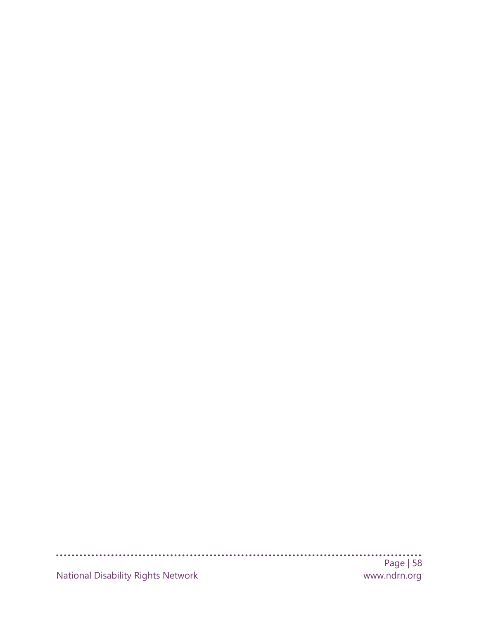Page | 58<br>Www.ndrn.org National Disability Rights Network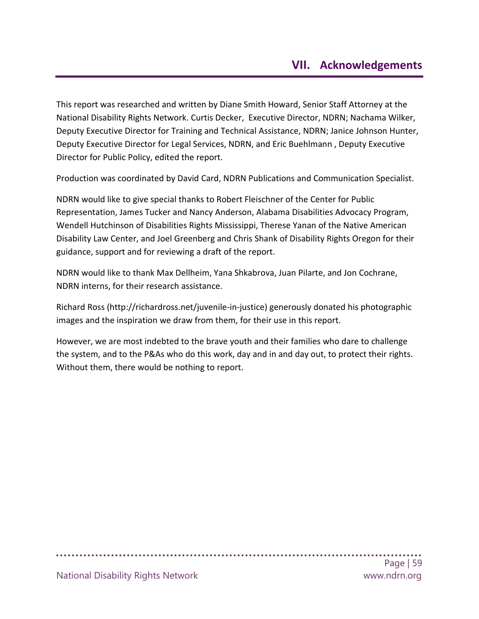This report was researched and written by Diane Smith Howard, Senior Staff Attorney at the National Disability Rights Network. Curtis Decker, Executive Director, NDRN; Nachama Wilker, Deputy Executive Director for Training and Technical Assistance, NDRN; Janice Johnson Hunter, Deputy Executive Director for Legal Services, NDRN, and Eric Buehlmann , Deputy Executive Director for Public Policy, edited the report.

Production was coordinated by David Card, NDRN Publications and Communication Specialist.

NDRN would like to give special thanks to Robert Fleischner of the Center for Public Representation, James Tucker and Nancy Anderson, Alabama Disabilities Advocacy Program, Wendell Hutchinson of Disabilities Rights Mississippi, Therese Yanan of the Native American Disability Law Center, and Joel Greenberg and Chris Shank of Disability Rights Oregon for their guidance, support and for reviewing a draft of the report.

NDRN would like to thank Max Dellheim, Yana Shkabrova, Juan Pilarte, and Jon Cochrane, NDRN interns, for their research assistance.

Richard Ross (http://richardross.net/juvenile-in-justice) generously donated his photographic images and the inspiration we draw from them, for their use in this report.

However, we are most indebted to the brave youth and their families who dare to challenge the system, and to the P&As who do this work, day and in and day out, to protect their rights. Without them, there would be nothing to report.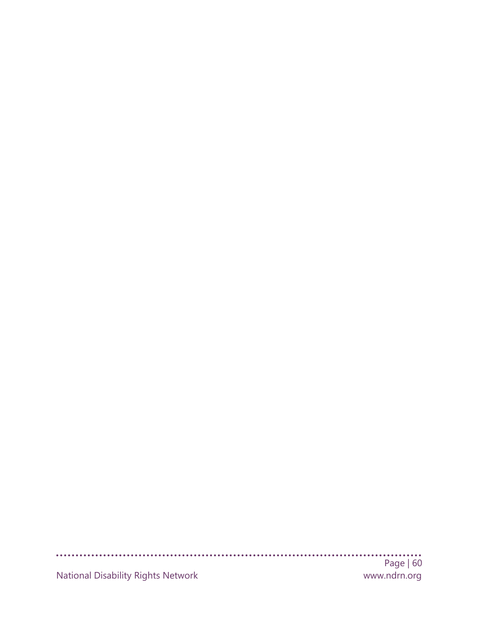Page | 60<br>Www.ndrn.org National Disability Rights Network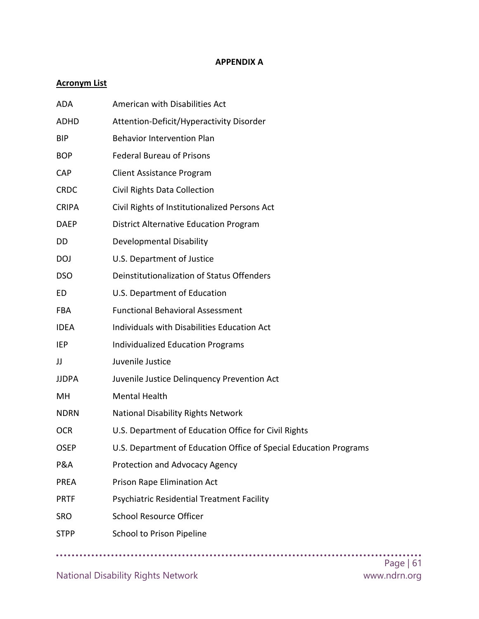## **APPENDIX A**

## **Acronym List**

| <b>ADA</b>   | American with Disabilities Act                                    |
|--------------|-------------------------------------------------------------------|
| ADHD         | Attention-Deficit/Hyperactivity Disorder                          |
| BIP          | <b>Behavior Intervention Plan</b>                                 |
| <b>BOP</b>   | <b>Federal Bureau of Prisons</b>                                  |
| CAP          | Client Assistance Program                                         |
| <b>CRDC</b>  | Civil Rights Data Collection                                      |
| <b>CRIPA</b> | Civil Rights of Institutionalized Persons Act                     |
| <b>DAEP</b>  | District Alternative Education Program                            |
| DD           | Developmental Disability                                          |
| <b>DOJ</b>   | U.S. Department of Justice                                        |
| <b>DSO</b>   | Deinstitutionalization of Status Offenders                        |
| ED           | U.S. Department of Education                                      |
| <b>FBA</b>   | <b>Functional Behavioral Assessment</b>                           |
| <b>IDEA</b>  | Individuals with Disabilities Education Act                       |
| IEP          | <b>Individualized Education Programs</b>                          |
| JJ           | Juvenile Justice                                                  |
| <b>JJDPA</b> | Juvenile Justice Delinquency Prevention Act                       |
| MН           | <b>Mental Health</b>                                              |
| <b>NDRN</b>  | <b>National Disability Rights Network</b>                         |
| <b>OCR</b>   | U.S. Department of Education Office for Civil Rights              |
| <b>OSEP</b>  | U.S. Department of Education Office of Special Education Programs |
| P&A          | Protection and Advocacy Agency                                    |
| <b>PREA</b>  | Prison Rape Elimination Act                                       |
| <b>PRTF</b>  | Psychiatric Residential Treatment Facility                        |
| <b>SRO</b>   | <b>School Resource Officer</b>                                    |
| <b>STPP</b>  | School to Prison Pipeline                                         |
|              |                                                                   |

. . . . . . . . . .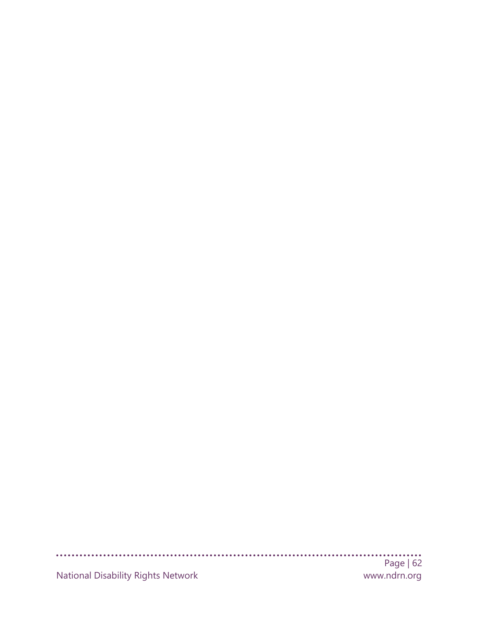modernical<br>Page | 62<br>www.ndrn.org National Disability Rights Network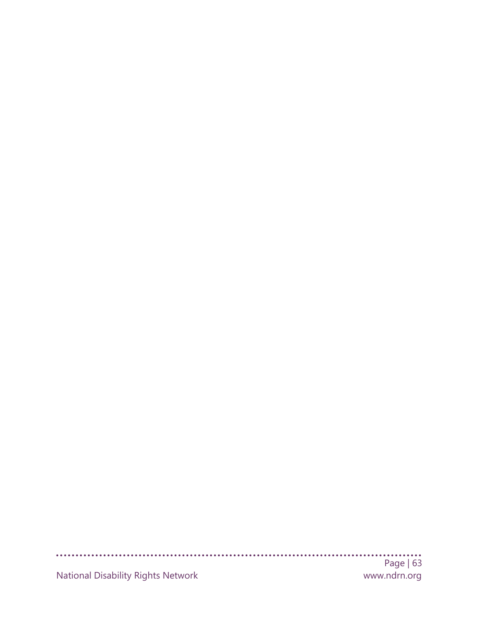modernical<br>Page | 63<br>www.ndrn.org National Disability Rights Network